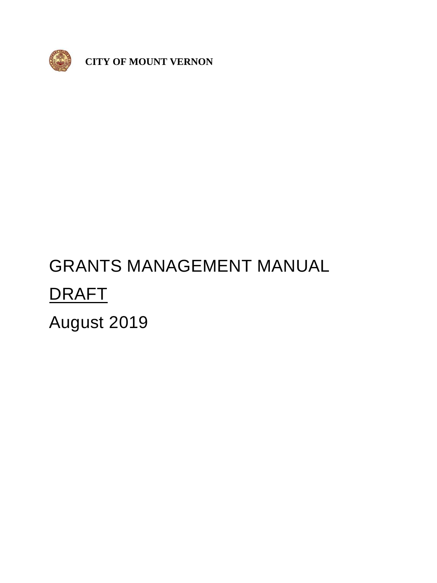

 **CITY OF MOUNT VERNON**

# GRANTS MANAGEMENT MANUAL DRAFT August 2019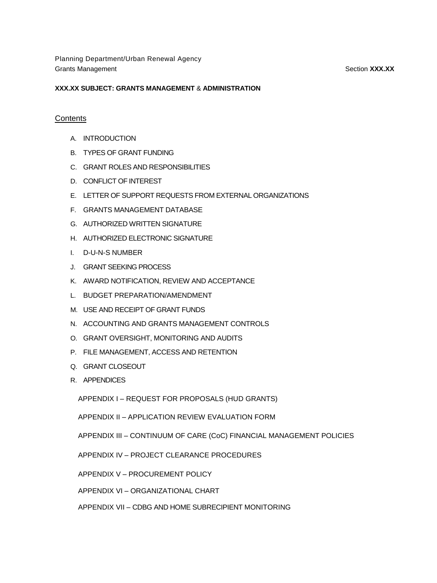Planning Department/Urban Renewal Agency Grants Management **Section XXX.XX** and Section **XXX.XX** and Section **XXX.XX** and Section **SECTION**  $\overline{S}$  and  $\overline{S}$  and  $\overline{S}$  and  $\overline{S}$  and  $\overline{S}$  and  $\overline{S}$  and  $\overline{S}$  and  $\overline{S}$  and  $\overline{S}$  and  $\overline{S$ 

#### **XXX.XX SUBJECT: GRANTS MANAGEMENT** & **ADMINISTRATION**

#### **Contents**

- A. INTRODUCTION
- B. TYPES OF GRANT FUNDING
- C. GRANT ROLES AND RESPONSIBILITIES
- D. CONFLICT OF INTEREST
- E. LETTER OF SUPPORT REQUESTS FROM EXTERNAL ORGANIZATIONS
- F. GRANTS MANAGEMENT DATABASE
- G. AUTHORIZED WRITTEN SIGNATURE
- H. AUTHORIZED ELECTRONIC SIGNATURE
- I. D-U-N-S NUMBER
- J. GRANT SEEKING PROCESS
- K. AWARD NOTIFICATION, REVIEW AND ACCEPTANCE
- L. BUDGET PREPARATION/AMENDMENT
- M. USE AND RECEIPT OF GRANT FUNDS
- N. ACCOUNTING AND GRANTS MANAGEMENT CONTROLS
- O. GRANT OVERSIGHT, MONITORING AND AUDITS
- P. FILE MANAGEMENT, ACCESS AND RETENTION
- Q. GRANT CLOSEOUT
- R. APPENDICES

APPENDIX I – REQUEST FOR PROPOSALS (HUD GRANTS)

APPENDIX II – APPLICATION REVIEW EVALUATION FORM

APPENDIX III – CONTINUUM OF CARE (CoC) FINANCIAL MANAGEMENT POLICIES

APPENDIX IV – PROJECT CLEARANCE PROCEDURES

APPENDIX V – PROCUREMENT POLICY

APPENDIX VI – ORGANIZATIONAL CHART

APPENDIX VII – CDBG AND HOME SUBRECIPIENT MONITORING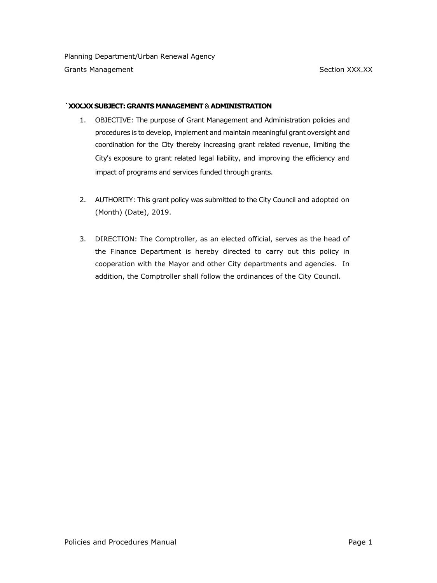#### **`XXX.XX SUBJECT: GRANTS MANAGEMENT** & **ADMINISTRATION**

- 1. OBJECTIVE: The purpose of Grant Management and Administration policies and procedures is to develop, implement and maintain meaningful grant oversight and coordination for the City thereby increasing grant related revenue, limiting the City's exposure to grant related legal liability, and improving the efficiency and impact of programs and services funded through grants.
- 2. AUTHORITY: This grant policy was submitted to the City Council and adopted on (Month) (Date), 2019.
- 3. DIRECTION: The Comptroller, as an elected official, serves as the head of the Finance Department is hereby directed to carry out this policy in cooperation with the Mayor and other City departments and agencies. In addition, the Comptroller shall follow the ordinances of the City Council.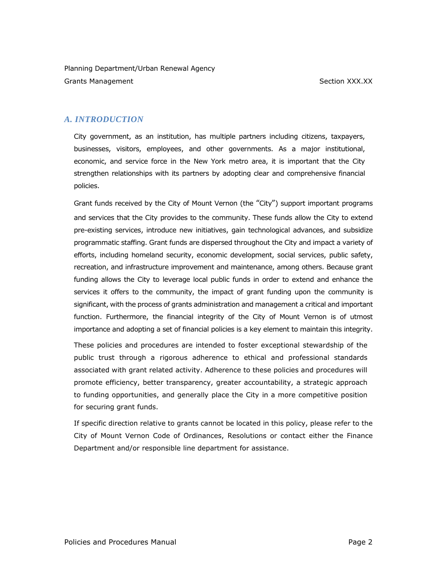# *A. INTRODUCTION*

City government, as an institution, has multiple partners including citizens, taxpayers, businesses, visitors, employees, and other governments. As a major institutional, economic, and service force in the New York metro area, it is important that the City strengthen relationships with its partners by adopting clear and comprehensive financial policies.

Grant funds received by the City of Mount Vernon (the "City") support important programs and services that the City provides to the community. These funds allow the City to extend pre-existing services, introduce new initiatives, gain technological advances, and subsidize programmatic staffing. Grant funds are dispersed throughout the City and impact a variety of efforts, including homeland security, economic development, social services, public safety, recreation, and infrastructure improvement and maintenance, among others. Because grant funding allows the City to leverage local public funds in order to extend and enhance the services it offers to the community, the impact of grant funding upon the community is significant, with the process of grants administration and management a critical and important function. Furthermore, the financial integrity of the City of Mount Vernon is of utmost importance and adopting a set of financial policies is a key element to maintain this integrity.

These policies and procedures are intended to foster exceptional stewardship of the public trust through a rigorous adherence to ethical and professional standards associated with grant related activity. Adherence to these policies and procedures will promote efficiency, better transparency, greater accountability, a strategic approach to funding opportunities, and generally place the City in a more competitive position for securing grant funds.

If specific direction relative to grants cannot be located in this policy, please refer to the City of Mount Vernon Code of Ordinances, Resolutions or contact either the Finance Department and/or responsible line department for assistance.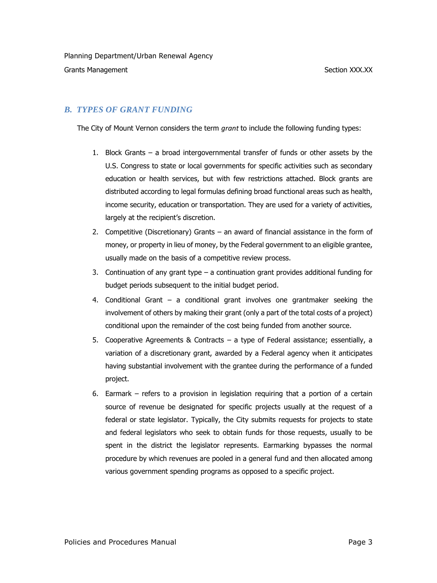# *B. TYPES OF GRANT FUNDING*

The City of Mount Vernon considers the term *grant* to include the following funding types:

- 1. Block Grants a broad intergovernmental transfer of funds or other assets by the U.S. Congress to state or local governments for specific activities such as secondary education or health services, but with few restrictions attached. Block grants are distributed according to legal formulas defining broad functional areas such as health, income security, education or transportation. They are used for a variety of activities, largely at the recipient's discretion.
- 2. Competitive (Discretionary) Grants an award of financial assistance in the form of money, or property in lieu of money, by the Federal government to an eligible grantee, usually made on the basis of a competitive review process.
- 3. Continuation of any grant type a continuation grant provides additional funding for budget periods subsequent to the initial budget period.
- 4. Conditional Grant a conditional grant involves one grantmaker seeking the involvement of others by making their grant (only a part of the total costs of a project) conditional upon the remainder of the cost being funded from another source.
- 5. Cooperative Agreements & Contracts a type of Federal assistance; essentially, a variation of a discretionary grant, awarded by a Federal agency when it anticipates having substantial involvement with the grantee during the performance of a funded project.
- 6. Earmark refers to a provision in legislation requiring that a portion of a certain source of revenue be designated for specific projects usually at the request of a federal or state legislator. Typically, the City submits requests for projects to state and federal legislators who seek to obtain funds for those requests, usually to be spent in the district the legislator represents. Earmarking bypasses the normal procedure by which revenues are pooled in a general fund and then allocated among various government spending programs as opposed to a specific project.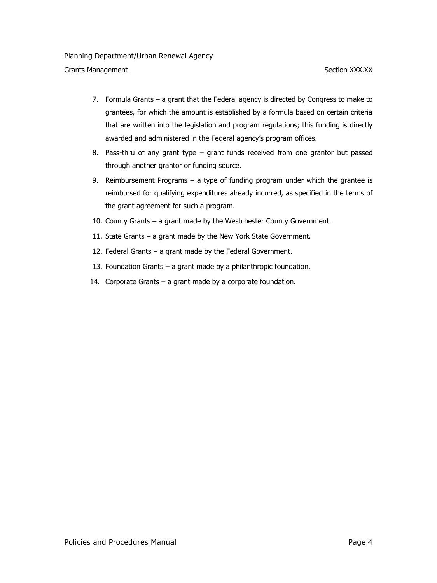## Grants Management **Section XXX.XX**

- 7. Formula Grants a grant that the Federal agency is directed by Congress to make to grantees, for which the amount is established by a formula based on certain criteria that are written into the legislation and program regulations; this funding is directly awarded and administered in the Federal agency's program offices.
- 8. Pass-thru of any grant type grant funds received from one grantor but passed through another grantor or funding source.
- 9. Reimbursement Programs a type of funding program under which the grantee is reimbursed for qualifying expenditures already incurred, as specified in the terms of the grant agreement for such a program.
- 10. County Grants a grant made by the Westchester County Government.
- 11. State Grants a grant made by the New York State Government.
- 12. Federal Grants a grant made by the Federal Government.
- 13. Foundation Grants a grant made by a philanthropic foundation.
- 14. Corporate Grants a grant made by a corporate foundation.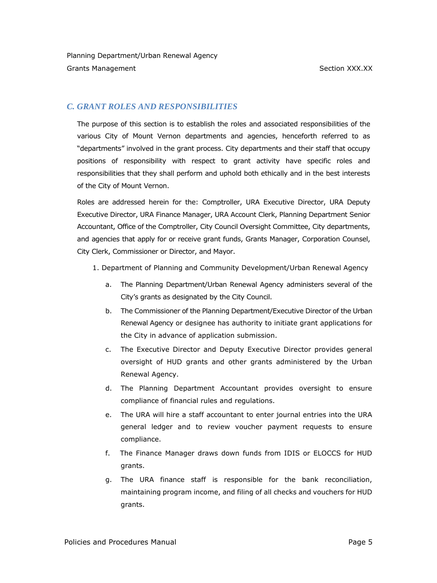# *C. GRANT ROLES AND RESPONSIBILITIES*

The purpose of this section is to establish the roles and associated responsibilities of the various City of Mount Vernon departments and agencies, henceforth referred to as "departments" involved in the grant process. City departments and their staff that occupy positions of responsibility with respect to grant activity have specific roles and responsibilities that they shall perform and uphold both ethically and in the best interests of the City of Mount Vernon.

Roles are addressed herein for the: Comptroller, URA Executive Director, URA Deputy Executive Director, URA Finance Manager, URA Account Clerk, Planning Department Senior Accountant, Office of the Comptroller, City Council Oversight Committee, City departments, and agencies that apply for or receive grant funds, Grants Manager, Corporation Counsel, City Clerk, Commissioner or Director, and Mayor.

- 1. Department of Planning and Community Development/Urban Renewal Agency
	- a. The Planning Department/Urban Renewal Agency administers several of the City's grants as designated by the City Council.
	- b. The Commissioner of the Planning Department/Executive Director of the Urban Renewal Agency or designee has authority to initiate grant applications for the City in advance of application submission.
	- c. The Executive Director and Deputy Executive Director provides general oversight of HUD grants and other grants administered by the Urban Renewal Agency.
	- d. The Planning Department Accountant provides oversight to ensure compliance of financial rules and regulations.
	- e. The URA will hire a staff accountant to enter journal entries into the URA general ledger and to review voucher payment requests to ensure compliance.
	- f. The Finance Manager draws down funds from IDIS or ELOCCS for HUD grants.
	- g. The URA finance staff is responsible for the bank reconciliation, maintaining program income, and filing of all checks and vouchers for HUD grants.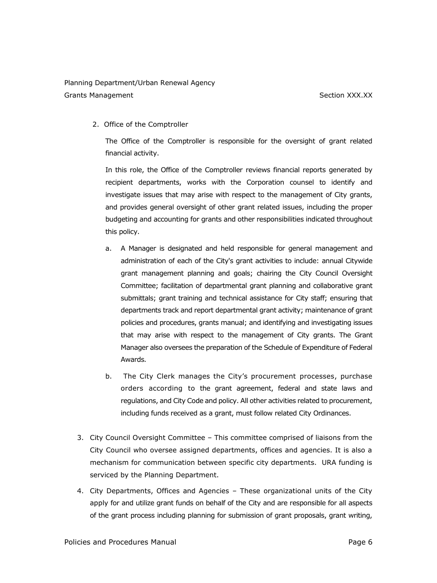# Planning Department/Urban Renewal Agency

Grants Management Section XXX.XX

2. Office of the Comptroller

The Office of the Comptroller is responsible for the oversight of grant related financial activity.

In this role, the Office of the Comptroller reviews financial reports generated by recipient departments, works with the Corporation counsel to identify and investigate issues that may arise with respect to the management of City grants, and provides general oversight of other grant related issues, including the proper budgeting and accounting for grants and other responsibilities indicated throughout this policy.

- a. A Manager is designated and held responsible for general management and administration of each of the City's grant activities to include: annual Citywide grant management planning and goals; chairing the City Council Oversight Committee; facilitation of departmental grant planning and collaborative grant submittals; grant training and technical assistance for City staff; ensuring that departments track and report departmental grant activity; maintenance of grant policies and procedures, grants manual; and identifying and investigating issues that may arise with respect to the management of City grants. The Grant Manager also oversees the preparation of the Schedule of Expenditure of Federal Awards.
- b. The City Clerk manages the City's procurement processes, purchase orders according to the grant agreement, federal and state laws and regulations, and City Code and policy. All other activities related to procurement, including funds received as a grant, must follow related City Ordinances.
- 3. City Council Oversight Committee This committee comprised of liaisons from the City Council who oversee assigned departments, offices and agencies. It is also a mechanism for communication between specific city departments. URA funding is serviced by the Planning Department.
- 4. City Departments, Offices and Agencies These organizational units of the City apply for and utilize grant funds on behalf of the City and are responsible for all aspects of the grant process including planning for submission of grant proposals, grant writing,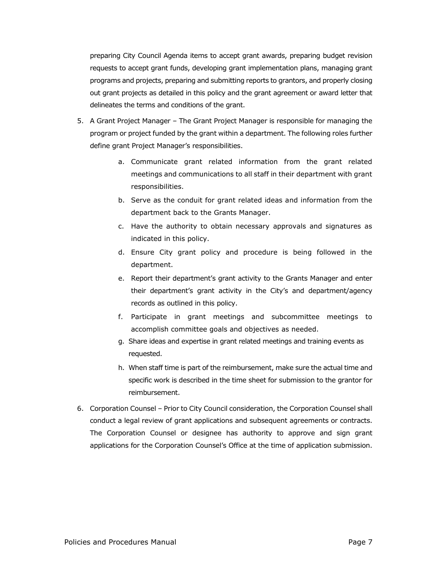preparing City Council Agenda items to accept grant awards, preparing budget revision requests to accept grant funds, developing grant implementation plans, managing grant programs and projects, preparing and submitting reports to grantors, and properly closing out grant projects as detailed in this policy and the grant agreement or award letter that delineates the terms and conditions of the grant.

- 5. A Grant Project Manager The Grant Project Manager is responsible for managing the program or project funded by the grant within a department. The following roles further define grant Project Manager's responsibilities.
	- a. Communicate grant related information from the grant related meetings and communications to all staff in their department with grant responsibilities.
	- b. Serve as the conduit for grant related ideas and information from the department back to the Grants Manager.
	- c. Have the authority to obtain necessary approvals and signatures as indicated in this policy.
	- d. Ensure City grant policy and procedure is being followed in the department.
	- e. Report their department's grant activity to the Grants Manager and enter their department's grant activity in the City's and department/agency records as outlined in this policy.
	- f. Participate in grant meetings and subcommittee meetings to accomplish committee goals and objectives as needed.
	- g. Share ideas and expertise in grant related meetings and training events as requested.
	- h. When staff time is part of the reimbursement, make sure the actual time and specific work is described in the time sheet for submission to the grantor for reimbursement.
- 6. Corporation Counsel Prior to City Council consideration, the Corporation Counsel shall conduct a legal review of grant applications and subsequent agreements or contracts. The Corporation Counsel or designee has authority to approve and sign grant applications for the Corporation Counsel's Office at the time of application submission.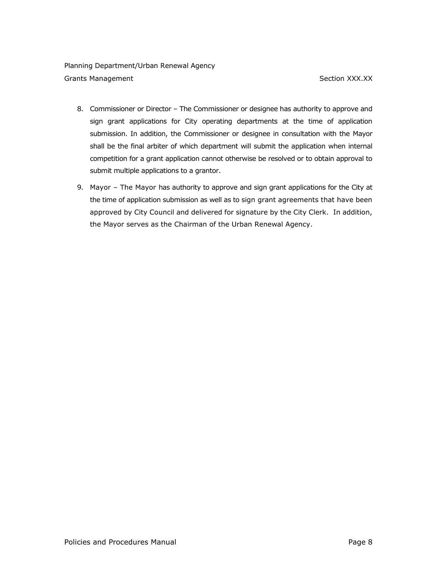- 8. Commissioner or Director The Commissioner or designee has authority to approve and sign grant applications for City operating departments at the time of application submission. In addition, the Commissioner or designee in consultation with the Mayor shall be the final arbiter of which department will submit the application when internal competition for a grant application cannot otherwise be resolved or to obtain approval to submit multiple applications to a grantor.
- 9. Mayor The Mayor has authority to approve and sign grant applications for the City at the time of application submission as well as to sign grant agreements that have been approved by City Council and delivered for signature by the City Clerk. In addition, the Mayor serves as the Chairman of the Urban Renewal Agency.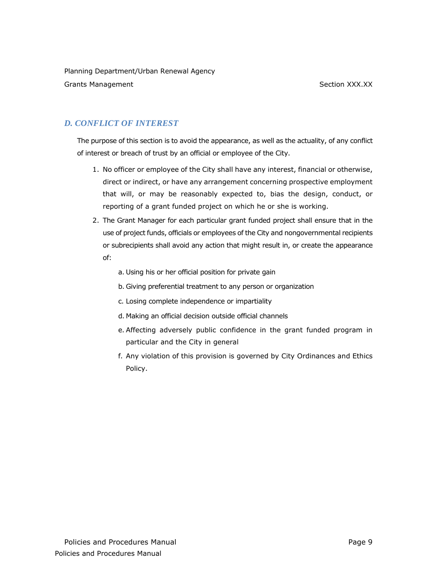Planning Department/Urban Renewal Agency

Grants Management **Section XXX.XX** 

# *D. CONFLICT OF INTEREST*

The purpose of this section is to avoid the appearance, as well as the actuality, of any conflict of interest or breach of trust by an official or employee of the City.

- 1. No officer or employee of the City shall have any interest, financial or otherwise, direct or indirect, or have any arrangement concerning prospective employment that will, or may be reasonably expected to, bias the design, conduct, or reporting of a grant funded project on which he or she is working.
- 2. The Grant Manager for each particular grant funded project shall ensure that in the use of project funds, officials or employees of the City and nongovernmental recipients or subrecipients shall avoid any action that might result in, or create the appearance of:
	- a. Using his or her official position for private gain
	- b. Giving preferential treatment to any person or organization
	- c. Losing complete independence or impartiality
	- d. Making an official decision outside official channels
	- e. Affecting adversely public confidence in the grant funded program in particular and the City in general
	- f. Any violation of this provision is governed by City Ordinances and Ethics Policy.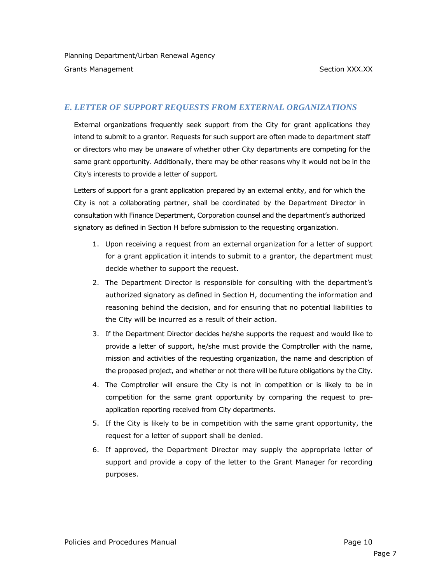# *E. LETTER OF SUPPORT REQUESTS FROM EXTERNAL ORGANIZATIONS*

External organizations frequently seek support from the City for grant applications they intend to submit to a grantor. Requests for such support are often made to department staff or directors who may be unaware of whether other City departments are competing for the same grant opportunity. Additionally, there may be other reasons why it would not be in the City's interests to provide a letter of support.

Letters of support for a grant application prepared by an external entity, and for which the City is not a collaborating partner, shall be coordinated by the Department Director in consultation with Finance Department, Corporation counsel and the department's authorized signatory as defined in Section H before submission to the requesting organization.

- 1. Upon receiving a request from an external organization for a letter of support for a grant application it intends to submit to a grantor, the department must decide whether to support the request.
- 2. The Department Director is responsible for consulting with the department's authorized signatory as defined in Section H, documenting the information and reasoning behind the decision, and for ensuring that no potential liabilities to the City will be incurred as a result of their action.
- 3. If the Department Director decides he/she supports the request and would like to provide a letter of support, he/she must provide the Comptroller with the name, mission and activities of the requesting organization, the name and description of the proposed project, and whether or not there will be future obligations by the City.
- 4. The Comptroller will ensure the City is not in competition or is likely to be in competition for the same grant opportunity by comparing the request to preapplication reporting received from City departments.
- 5. If the City is likely to be in competition with the same grant opportunity, the request for a letter of support shall be denied.
- 6. If approved, the Department Director may supply the appropriate letter of support and provide a copy of the letter to the Grant Manager for recording purposes.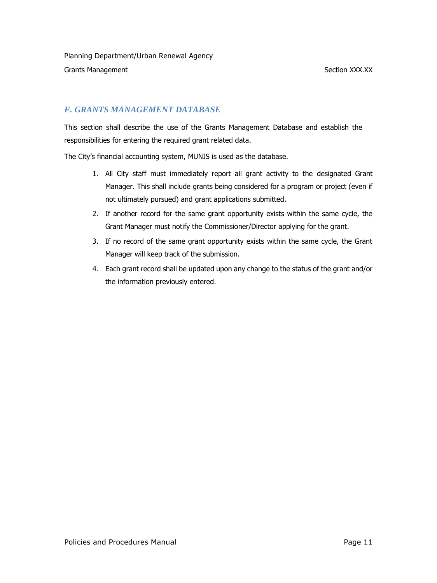# *F. GRANTS MANAGEMENT DATABASE*

This section shall describe the use of the Grants Management Database and establish the responsibilities for entering the required grant related data.

The City's financial accounting system, MUNIS is used as the database.

- 1. All City staff must immediately report all grant activity to the designated Grant Manager. This shall include grants being considered for a program or project (even if not ultimately pursued) and grant applications submitted.
- 2. If another record for the same grant opportunity exists within the same cycle, the Grant Manager must notify the Commissioner/Director applying for the grant.
- 3. If no record of the same grant opportunity exists within the same cycle, the Grant Manager will keep track of the submission.
- 4. Each grant record shall be updated upon any change to the status of the grant and/or the information previously entered.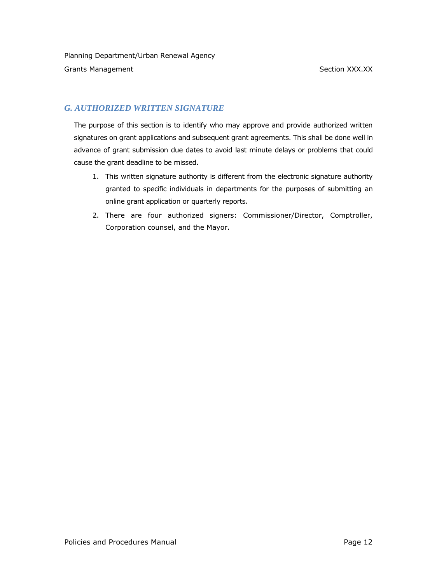# *G. AUTHORIZED WRITTEN SIGNATURE*

The purpose of this section is to identify who may approve and provide authorized written signatures on grant applications and subsequent grant agreements. This shall be done well in advance of grant submission due dates to avoid last minute delays or problems that could cause the grant deadline to be missed.

- 1. This written signature authority is different from the electronic signature authority granted to specific individuals in departments for the purposes of submitting an online grant application or quarterly reports.
- 2. There are four authorized signers: Commissioner/Director, Comptroller, Corporation counsel, and the Mayor.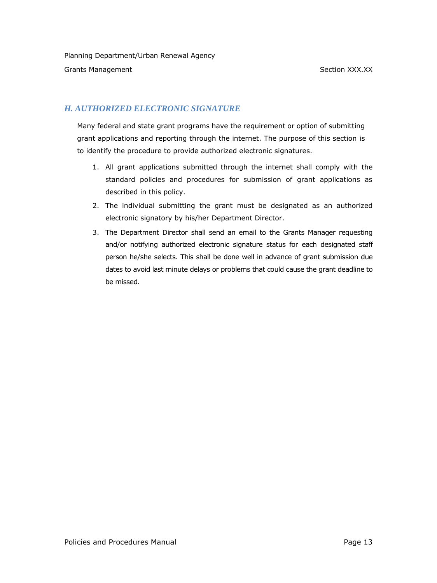# *H. AUTHORIZED ELECTRONIC SIGNATURE*

Many federal and state grant programs have the requirement or option of submitting grant applications and reporting through the internet. The purpose of this section is to identify the procedure to provide authorized electronic signatures.

- 1. All grant applications submitted through the internet shall comply with the standard policies and procedures for submission of grant applications as described in this policy.
- 2. The individual submitting the grant must be designated as an authorized electronic signatory by his/her Department Director.
- 3. The Department Director shall send an email to the Grants Manager requesting and/or notifying authorized electronic signature status for each designated staff person he/she selects. This shall be done well in advance of grant submission due dates to avoid last minute delays or problems that could cause the grant deadline to be missed.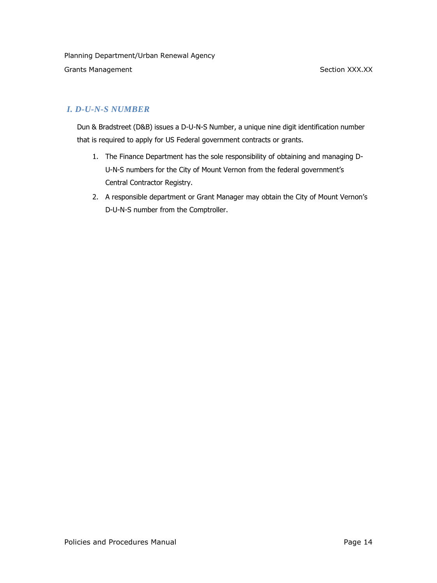# *I. D-U-N-S NUMBER*

Dun & Bradstreet (D&B) issues a D-U-N-S Number, a unique nine digit identification number that is required to apply for US Federal government contracts or grants.

- 1. The Finance Department has the sole responsibility of obtaining and managing D-U-N-S numbers for the City of Mount Vernon from the federal government's Central Contractor Registry.
- 2. A responsible department or Grant Manager may obtain the City of Mount Vernon's D-U-N-S number from the Comptroller.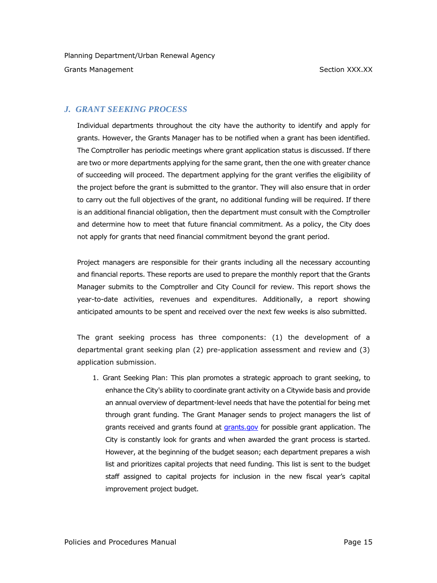# *J. GRANT SEEKING PROCESS*

Individual departments throughout the city have the authority to identify and apply for grants. However, the Grants Manager has to be notified when a grant has been identified. The Comptroller has periodic meetings where grant application status is discussed. If there are two or more departments applying for the same grant, then the one with greater chance of succeeding will proceed. The department applying for the grant verifies the eligibility of the project before the grant is submitted to the grantor. They will also ensure that in order to carry out the full objectives of the grant, no additional funding will be required. If there is an additional financial obligation, then the department must consult with the Comptroller and determine how to meet that future financial commitment. As a policy, the City does not apply for grants that need financial commitment beyond the grant period.

Project managers are responsible for their grants including all the necessary accounting and financial reports. These reports are used to prepare the monthly report that the Grants Manager submits to the Comptroller and City Council for review. This report shows the year-to-date activities, revenues and expenditures. Additionally, a report showing anticipated amounts to be spent and received over the next few weeks is also submitted.

The grant seeking process has three components: (1) the development of a departmental grant seeking plan (2) pre-application assessment and review and (3) application submission.

1. Grant Seeking Plan: This plan promotes a strategic approach to grant seeking, to enhance the City's ability to coordinate grant activity on a Citywide basis and provide an annual overview of department-level needs that have the potential for being met through grant funding. The Grant Manager sends to project managers the list of grants received and grants found at [grants.gov](http://grants.gov/) for possible grant application. The City is constantly look for grants and when awarded the grant process is started. However, at the beginning of the budget season; each department prepares a wish list and prioritizes capital projects that need funding. This list is sent to the budget staff assigned to capital projects for inclusion in the new fiscal year's capital improvement project budget.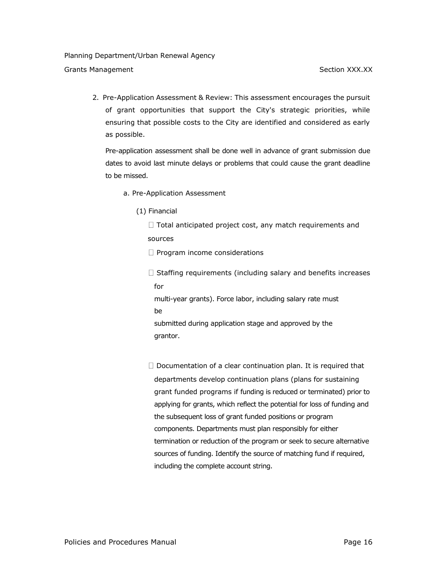Planning Department/Urban Renewal Agency

Grants Management Section XXX.XX

2. Pre-Application Assessment & Review: This assessment encourages the pursuit of grant opportunities that support the City's strategic priorities, while ensuring that possible costs to the City are identified and considered as early as possible.

Pre-application assessment shall be done well in advance of grant submission due dates to avoid last minute delays or problems that could cause the grant deadline to be missed.

- a. Pre-Application Assessment
	- (1) Financial
		- $\Box$  Total anticipated project cost, any match requirements and sources

 $\Box$  Program income considerations

 $\Box$  Staffing requirements (including salary and benefits increases for

multi-year grants). Force labor, including salary rate must be

submitted during application stage and approved by the grantor.

 $\Box$  Documentation of a clear continuation plan. It is required that departments develop continuation plans (plans for sustaining grant funded programs if funding is reduced or terminated) prior to applying for grants, which reflect the potential for loss of funding and the subsequent loss of grant funded positions or program components. Departments must plan responsibly for either termination or reduction of the program or seek to secure alternative sources of funding. Identify the source of matching fund if required, including the complete account string.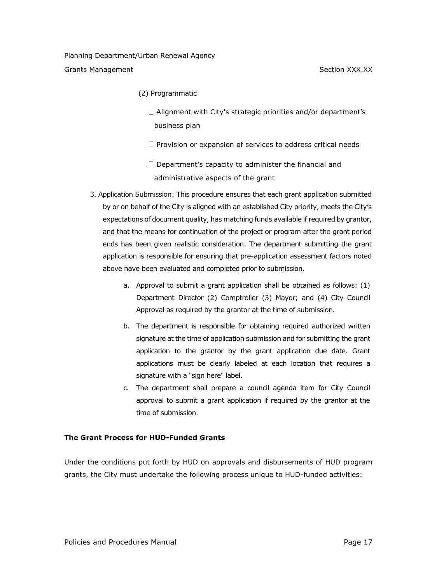- (2) Programmatic
	- □ Alignment with City's strategic priorities and/or department's business plan
	- $\Box$  Provision or expansion of services to address critical needs
	- $\Box$  Department's capacity to administer the financial and administrative aspects of the grant
- 3. Application Submission: This procedure ensures that each grant application submitted by or on behalf of the City is aligned with an established City priority, meets the City's expectations of document quality, has matching funds available if required by grantor, and that the means for continuation of the project or program after the grant period ends has been given realistic consideration. The department submitting the grant application is responsible for ensuring that pre-application assessment factors noted above have been evaluated and completed prior to submission.
	- a. Approval to submit a grant application shall be obtained as follows: (1) Department Director (2) Comptroller (3) Mayor; and (4) City Council Approval as required by the grantor at the time of submission.
	- b. The department is responsible for obtaining required authorized written signature at the time of application submission and for submitting the grant application to the grantor by the grant application due date. Grant applications must be clearly labeled at each location that requires a signature with a "sign here" label.
	- c. The department shall prepare a council agenda item for City Council approval to submit a grant application if required by the grantor at the time of submission.

#### **The Grant Process for HUD-Funded Grants**

Under the conditions put forth by HUD on approvals and disbursements of HUD program grants, the City must undertake the following process unique to HUD-funded activities: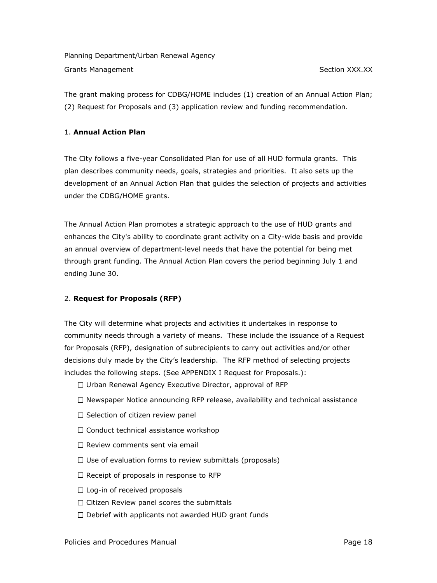The grant making process for CDBG/HOME includes (1) creation of an Annual Action Plan; (2) Request for Proposals and (3) application review and funding recommendation.

#### 1. **Annual Action Plan**

The City follows a five-year Consolidated Plan for use of all HUD formula grants. This plan describes community needs, goals, strategies and priorities. It also sets up the development of an Annual Action Plan that guides the selection of projects and activities under the CDBG/HOME grants.

The Annual Action Plan promotes a strategic approach to the use of HUD grants and enhances the City's ability to coordinate grant activity on a City-wide basis and provide an annual overview of department-level needs that have the potential for being met through grant funding. The Annual Action Plan covers the period beginning July 1 and ending June 30.

## 2. **Request for Proposals (RFP)**

The City will determine what projects and activities it undertakes in response to community needs through a variety of means. These include the issuance of a Request for Proposals (RFP), designation of subrecipients to carry out activities and/or other decisions duly made by the City's leadership. The RFP method of selecting projects includes the following steps. (See APPENDIX I Request for Proposals.):

- $\Box$  Urban Renewal Agency Executive Director, approval of RFP
- $\Box$  Newspaper Notice announcing RFP release, availability and technical assistance
- $\Box$  Selection of citizen review panel
- $\Box$  Conduct technical assistance workshop
- $\Box$  Review comments sent via email
- $\Box$  Use of evaluation forms to review submittals (proposals)
- $\Box$  Receipt of proposals in response to RFP
- $\Box$  Log-in of received proposals
- $\Box$  Citizen Review panel scores the submittals
- $\Box$  Debrief with applicants not awarded HUD grant funds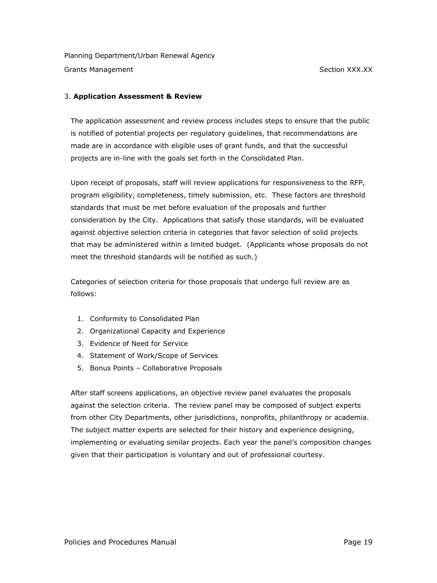## 3. **Application Assessment & Review**

The application assessment and review process includes steps to ensure that the public is notified of potential projects per regulatory guidelines, that recommendations are made are in accordance with eligible uses of grant funds, and that the successful projects are in-line with the goals set forth in the Consolidated Plan.

Upon receipt of proposals, staff will review applications for responsiveness to the RFP, program eligibility, completeness, timely submission, etc. These factors are threshold standards that must be met before evaluation of the proposals and further consideration by the City. Applications that satisfy those standards, will be evaluated against objective selection criteria in categories that favor selection of solid projects that may be administered within a limited budget. (Applicants whose proposals do not meet the threshold standards will be notified as such.)

Categories of selection criteria for those proposals that undergo full review are as follows:

- 1. Conformity to Consolidated Plan
- 2. Organizational Capacity and Experience
- 3. Evidence of Need for Service
- 4. Statement of Work/Scope of Services
- 5. Bonus Points Collaborative Proposals

After staff screens applications, an objective review panel evaluates the proposals against the selection criteria. The review panel may be composed of subject experts from other City Departments, other jurisdictions, nonprofits, philanthropy or academia. The subject matter experts are selected for their history and experience designing, implementing or evaluating similar projects. Each year the panel's composition changes given that their participation is voluntary and out of professional courtesy.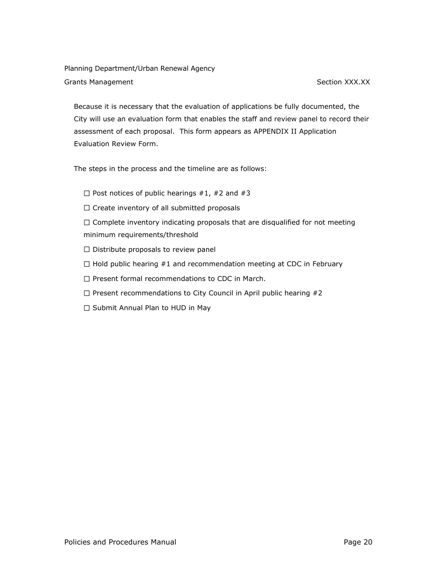Because it is necessary that the evaluation of applications be fully documented, the City will use an evaluation form that enables the staff and review panel to record their assessment of each proposal. This form appears as APPENDIX II Application Evaluation Review Form.

The steps in the process and the timeline are as follows:

- $\Box$  Post notices of public hearings #1, #2 and #3
- $\Box$  Create inventory of all submitted proposals

 $\Box$  Complete inventory indicating proposals that are disqualified for not meeting minimum requirements/threshold

- $\square$  Distribute proposals to review panel
- $\Box$  Hold public hearing #1 and recommendation meeting at CDC in February
- $\Box$  Present formal recommendations to CDC in March.
- $\Box$  Present recommendations to City Council in April public hearing #2
- $\square$  Submit Annual Plan to HUD in May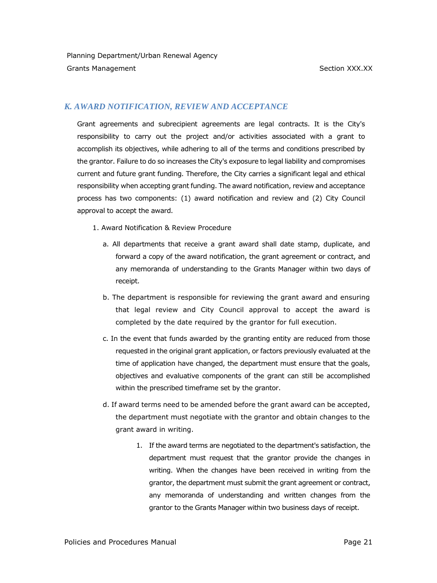# *K. AWARD NOTIFICATION, REVIEW AND ACCEPTANCE*

Grant agreements and subrecipient agreements are legal contracts. It is the City's responsibility to carry out the project and/or activities associated with a grant to accomplish its objectives, while adhering to all of the terms and conditions prescribed by the grantor. Failure to do so increases the City's exposure to legal liability and compromises current and future grant funding. Therefore, the City carries a significant legal and ethical responsibility when accepting grant funding. The award notification, review and acceptance process has two components: (1) award notification and review and (2) City Council approval to accept the award.

- 1. Award Notification & Review Procedure
	- a. All departments that receive a grant award shall date stamp, duplicate, and forward a copy of the award notification, the grant agreement or contract, and any memoranda of understanding to the Grants Manager within two days of receipt.
	- b. The department is responsible for reviewing the grant award and ensuring that legal review and City Council approval to accept the award is completed by the date required by the grantor for full execution.
	- c. In the event that funds awarded by the granting entity are reduced from those requested in the original grant application, or factors previously evaluated at the time of application have changed, the department must ensure that the goals, objectives and evaluative components of the grant can still be accomplished within the prescribed timeframe set by the grantor.
	- d. If award terms need to be amended before the grant award can be accepted, the department must negotiate with the grantor and obtain changes to the grant award in writing.
		- 1. If the award terms are negotiated to the department's satisfaction, the department must request that the grantor provide the changes in writing. When the changes have been received in writing from the grantor, the department must submit the grant agreement or contract, any memoranda of understanding and written changes from the grantor to the Grants Manager within two business days of receipt.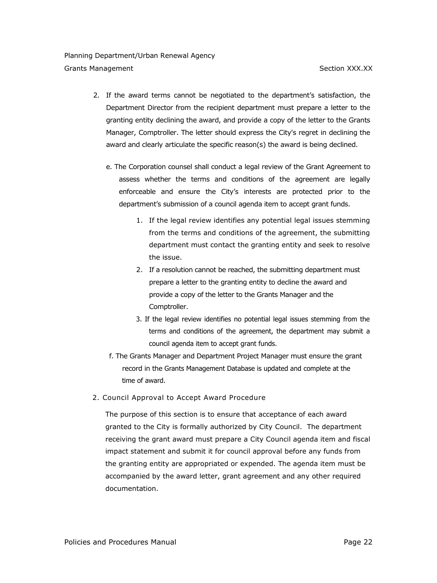- 2. If the award terms cannot be negotiated to the department's satisfaction, the Department Director from the recipient department must prepare a letter to the granting entity declining the award, and provide a copy of the letter to the Grants Manager, Comptroller. The letter should express the City's regret in declining the award and clearly articulate the specific reason(s) the award is being declined.
	- e. The Corporation counsel shall conduct a legal review of the Grant Agreement to assess whether the terms and conditions of the agreement are legally enforceable and ensure the City's interests are protected prior to the department's submission of a council agenda item to accept grant funds.
		- 1. If the legal review identifies any potential legal issues stemming from the terms and conditions of the agreement, the submitting department must contact the granting entity and seek to resolve the issue.
		- 2. If a resolution cannot be reached, the submitting department must prepare a letter to the granting entity to decline the award and provide a copy of the letter to the Grants Manager and the Comptroller.
		- 3. If the legal review identifies no potential legal issues stemming from the terms and conditions of the agreement, the department may submit a council agenda item to accept grant funds.
	- f. The Grants Manager and Department Project Manager must ensure the grant record in the Grants Management Database is updated and complete at the time of award.
- 2. Council Approval to Accept Award Procedure

The purpose of this section is to ensure that acceptance of each award granted to the City is formally authorized by City Council. The department receiving the grant award must prepare a City Council agenda item and fiscal impact statement and submit it for council approval before any funds from the granting entity are appropriated or expended. The agenda item must be accompanied by the award letter, grant agreement and any other required documentation.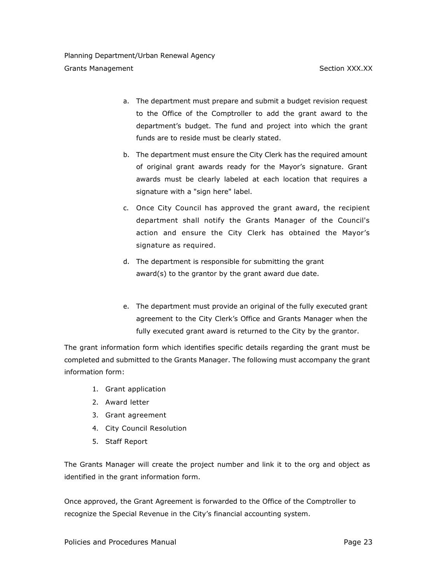- a. The department must prepare and submit a budget revision request to the Office of the Comptroller to add the grant award to the department's budget. The fund and project into which the grant funds are to reside must be clearly stated.
- b. The department must ensure the City Clerk has the required amount of original grant awards ready for the Mayor's signature. Grant awards must be clearly labeled at each location that requires a signature with a "sign here" label.
- c. Once City Council has approved the grant award, the recipient department shall notify the Grants Manager of the Council's action and ensure the City Clerk has obtained the Mayor's signature as required.
- d. The department is responsible for submitting the grant award(s) to the grantor by the grant award due date.
- e. The department must provide an original of the fully executed grant agreement to the City Clerk's Office and Grants Manager when the fully executed grant award is returned to the City by the grantor.

The grant information form which identifies specific details regarding the grant must be completed and submitted to the Grants Manager. The following must accompany the grant information form:

- 1. Grant application
- 2. Award letter
- 3. Grant agreement
- 4. City Council Resolution
- 5. Staff Report

The Grants Manager will create the project number and link it to the org and object as identified in the grant information form.

Once approved, the Grant Agreement is forwarded to the Office of the Comptroller to recognize the Special Revenue in the City's financial accounting system.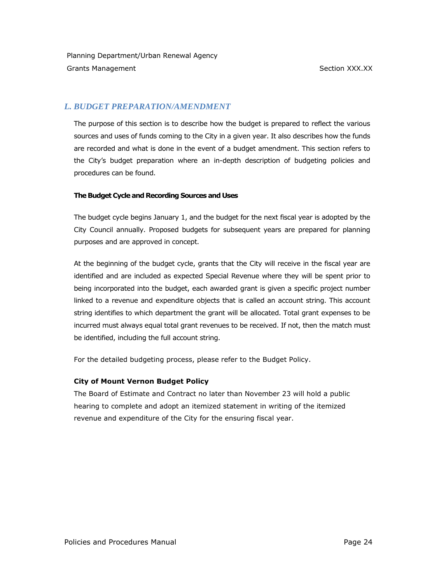# *L. BUDGET PREPARATION/AMENDMENT*

The purpose of this section is to describe how the budget is prepared to reflect the various sources and uses of funds coming to the City in a given year. It also describes how the funds are recorded and what is done in the event of a budget amendment. This section refers to the City's budget preparation where an in-depth description of budgeting policies and procedures can be found.

# **The Budget Cycle and Recording Sources and Uses**

The budget cycle begins January 1, and the budget for the next fiscal year is adopted by the City Council annually. Proposed budgets for subsequent years are prepared for planning purposes and are approved in concept.

At the beginning of the budget cycle, grants that the City will receive in the fiscal year are identified and are included as expected Special Revenue where they will be spent prior to being incorporated into the budget, each awarded grant is given a specific project number linked to a revenue and expenditure objects that is called an account string. This account string identifies to which department the grant will be allocated. Total grant expenses to be incurred must always equal total grant revenues to be received. If not, then the match must be identified, including the full account string.

For the detailed budgeting process, please refer to the Budget Policy.

# **City of Mount Vernon Budget Policy**

The Board of Estimate and Contract no later than November 23 will hold a public hearing to complete and adopt an itemized statement in writing of the itemized revenue and expenditure of the City for the ensuring fiscal year.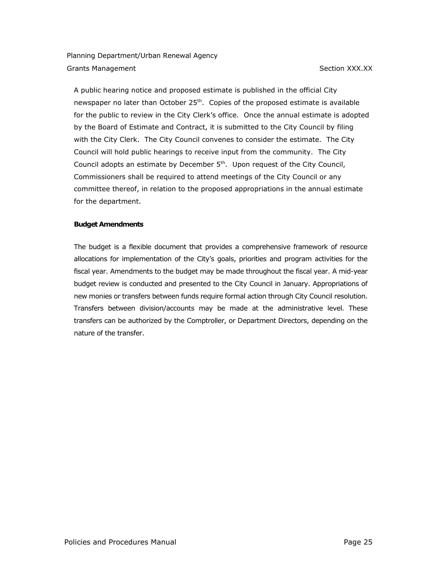A public hearing notice and proposed estimate is published in the official City newspaper no later than October  $25<sup>th</sup>$ . Copies of the proposed estimate is available for the public to review in the City Clerk's office. Once the annual estimate is adopted by the Board of Estimate and Contract, it is submitted to the City Council by filing with the City Clerk. The City Council convenes to consider the estimate. The City Council will hold public hearings to receive input from the community. The City Council adopts an estimate by December 5<sup>th</sup>. Upon request of the City Council, Commissioners shall be required to attend meetings of the City Council or any committee thereof, in relation to the proposed appropriations in the annual estimate for the department.

#### **Budget Amendments**

The budget is a flexible document that provides a comprehensive framework of resource allocations for implementation of the City's goals, priorities and program activities for the fiscal year. Amendments to the budget may be made throughout the fiscal year. A mid-year budget review is conducted and presented to the City Council in January. Appropriations of new monies or transfers between funds require formal action through City Council resolution. Transfers between division/accounts may be made at the administrative level. These transfers can be authorized by the Comptroller, or Department Directors, depending on the nature of the transfer.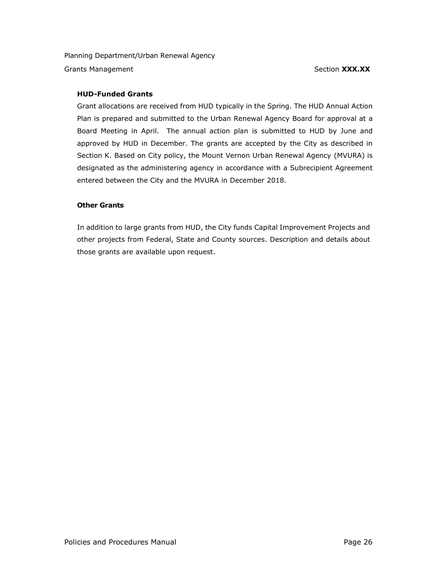## **HUD-Funded Grants**

Grant allocations are received from HUD typically in the Spring. The HUD Annual Action Plan is prepared and submitted to the Urban Renewal Agency Board for approval at a Board Meeting in April. The annual action plan is submitted to HUD by June and approved by HUD in December. The grants are accepted by the City as described in Section K. Based on City policy, the Mount Vernon Urban Renewal Agency (MVURA) is designated as the administering agency in accordance with a Subrecipient Agreement entered between the City and the MVURA in December 2018.

## **Other Grants**

In addition to large grants from HUD, the City funds Capital Improvement Projects and other projects from Federal, State and County sources. Description and details about those grants are available upon request.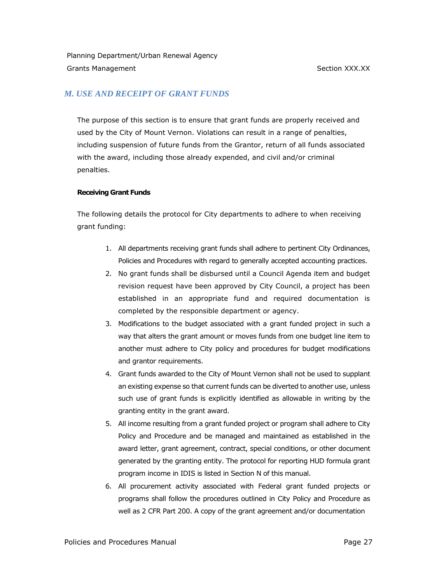# *M. USE AND RECEIPT OF GRANT FUNDS*

The purpose of this section is to ensure that grant funds are properly received and used by the City of Mount Vernon. Violations can result in a range of penalties, including suspension of future funds from the Grantor, return of all funds associated with the award, including those already expended, and civil and/or criminal penalties.

#### **Receiving Grant Funds**

The following details the protocol for City departments to adhere to when receiving grant funding:

- 1. All departments receiving grant funds shall adhere to pertinent City Ordinances, Policies and Procedures with regard to generally accepted accounting practices.
- 2. No grant funds shall be disbursed until a Council Agenda item and budget revision request have been approved by City Council, a project has been established in an appropriate fund and required documentation is completed by the responsible department or agency.
- 3. Modifications to the budget associated with a grant funded project in such a way that alters the grant amount or moves funds from one budget line item to another must adhere to City policy and procedures for budget modifications and grantor requirements.
- 4. Grant funds awarded to the City of Mount Vernon shall not be used to supplant an existing expense so that current funds can be diverted to another use, unless such use of grant funds is explicitly identified as allowable in writing by the granting entity in the grant award.
- 5. All income resulting from a grant funded project or program shall adhere to City Policy and Procedure and be managed and maintained as established in the award letter, grant agreement, contract, special conditions, or other document generated by the granting entity. The protocol for reporting HUD formula grant program income in IDIS is listed in Section N of this manual.
- 6. All procurement activity associated with Federal grant funded projects or programs shall follow the procedures outlined in City Policy and Procedure as well as 2 CFR Part 200. A copy of the grant agreement and/or documentation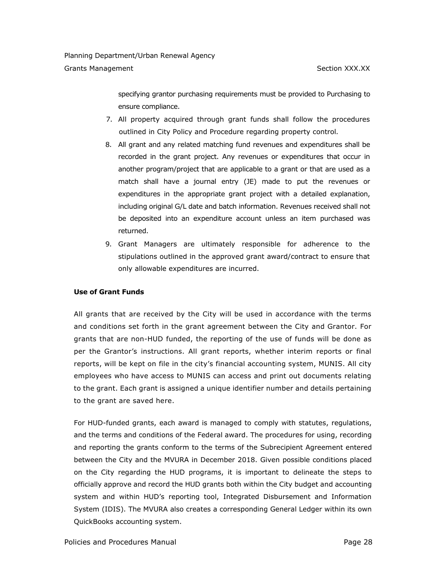specifying grantor purchasing requirements must be provided to Purchasing to ensure compliance.

- 7. All property acquired through grant funds shall follow the procedures outlined in City Policy and Procedure regarding property control*.*
- 8. All grant and any related matching fund revenues and expenditures shall be recorded in the grant project. Any revenues or expenditures that occur in another program/project that are applicable to a grant or that are used as a match shall have a journal entry (JE) made to put the revenues or expenditures in the appropriate grant project with a detailed explanation, including original G/L date and batch information. Revenues received shall not be deposited into an expenditure account unless an item purchased was returned.
- 9. Grant Managers are ultimately responsible for adherence to the stipulations outlined in the approved grant award/contract to ensure that only allowable expenditures are incurred.

#### **Use of Grant Funds**

All grants that are received by the City will be used in accordance with the terms and conditions set forth in the grant agreement between the City and Grantor. For grants that are non-HUD funded, the reporting of the use of funds will be done as per the Grantor's instructions. All grant reports, whether interim reports or final reports, will be kept on file in the city's financial accounting system, MUNIS. All city employees who have access to MUNIS can access and print out documents relating to the grant. Each grant is assigned a unique identifier number and details pertaining to the grant are saved here.

For HUD-funded grants, each award is managed to comply with statutes, regulations, and the terms and conditions of the Federal award. The procedures for using, recording and reporting the grants conform to the terms of the Subrecipient Agreement entered between the City and the MVURA in December 2018. Given possible conditions placed on the City regarding the HUD programs, it is important to delineate the steps to officially approve and record the HUD grants both within the City budget and accounting system and within HUD's reporting tool, Integrated Disbursement and Information System (IDIS). The MVURA also creates a corresponding General Ledger within its own QuickBooks accounting system.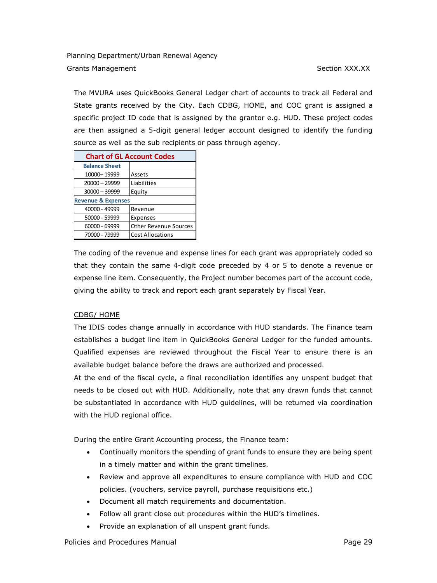The MVURA uses QuickBooks General Ledger chart of accounts to track all Federal and State grants received by the City. Each CDBG, HOME, and COC grant is assigned a specific project ID code that is assigned by the grantor e.g. HUD. These project codes are then assigned a 5-digit general ledger account designed to identify the funding source as well as the sub recipients or pass through agency.

| <b>Chart of GL Account Codes</b> |                              |  |
|----------------------------------|------------------------------|--|
| <b>Balance Sheet</b>             |                              |  |
| 10000-19999                      | Assets                       |  |
| 20000 - 29999                    | Liabilities                  |  |
| 30000 - 39999                    | Equity                       |  |
| <b>Revenue &amp; Expenses</b>    |                              |  |
| 40000 - 49999                    | Revenue                      |  |
| 50000 - 59999                    | Expenses                     |  |
| 60000 - 69999                    | <b>Other Revenue Sources</b> |  |
| 70000 - 79999                    | <b>Cost Allocations</b>      |  |

The coding of the revenue and expense lines for each grant was appropriately coded so that they contain the same 4-digit code preceded by 4 or 5 to denote a revenue or expense line item. Consequently, the Project number becomes part of the account code, giving the ability to track and report each grant separately by Fiscal Year.

## CDBG/ HOME

The IDIS codes change annually in accordance with HUD standards. The Finance team establishes a budget line item in QuickBooks General Ledger for the funded amounts. Qualified expenses are reviewed throughout the Fiscal Year to ensure there is an available budget balance before the draws are authorized and processed.

At the end of the fiscal cycle, a final reconciliation identifies any unspent budget that needs to be closed out with HUD. Additionally, note that any drawn funds that cannot be substantiated in accordance with HUD guidelines, will be returned via coordination with the HUD regional office.

During the entire Grant Accounting process, the Finance team:

- Continually monitors the spending of grant funds to ensure they are being spent in a timely matter and within the grant timelines.
- Review and approve all expenditures to ensure compliance with HUD and COC policies. (vouchers, service payroll, purchase requisitions etc.)
- Document all match requirements and documentation.
- Follow all grant close out procedures within the HUD's timelines.
- Provide an explanation of all unspent grant funds.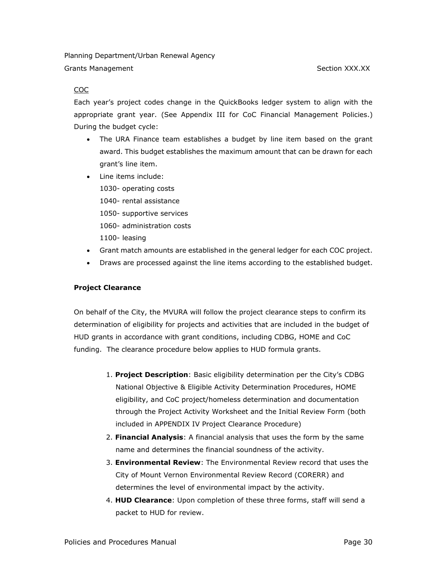#### COC

Each year's project codes change in the QuickBooks ledger system to align with the appropriate grant year. (See Appendix III for CoC Financial Management Policies.) During the budget cycle:

- The URA Finance team establishes a budget by line item based on the grant award. This budget establishes the maximum amount that can be drawn for each grant's line item.
- Line items include: 1030- operating costs 1040- rental assistance 1050- supportive services 1060- administration costs 1100- leasing
- Grant match amounts are established in the general ledger for each COC project.
- Draws are processed against the line items according to the established budget.

#### **Project Clearance**

On behalf of the City, the MVURA will follow the project clearance steps to confirm its determination of eligibility for projects and activities that are included in the budget of HUD grants in accordance with grant conditions, including CDBG, HOME and CoC funding. The clearance procedure below applies to HUD formula grants.

- 1. **Project Description**: Basic eligibility determination per the City's CDBG National Objective & Eligible Activity Determination Procedures, HOME eligibility, and CoC project/homeless determination and documentation through the Project Activity Worksheet and the Initial Review Form (both included in APPENDIX IV Project Clearance Procedure)
- 2. **Financial Analysis**: A financial analysis that uses the form by the same name and determines the financial soundness of the activity.
- 3. **Environmental Review**: The Environmental Review record that uses the City of Mount Vernon Environmental Review Record (CORERR) and determines the level of environmental impact by the activity.
- 4. **HUD Clearance**: Upon completion of these three forms, staff will send a packet to HUD for review.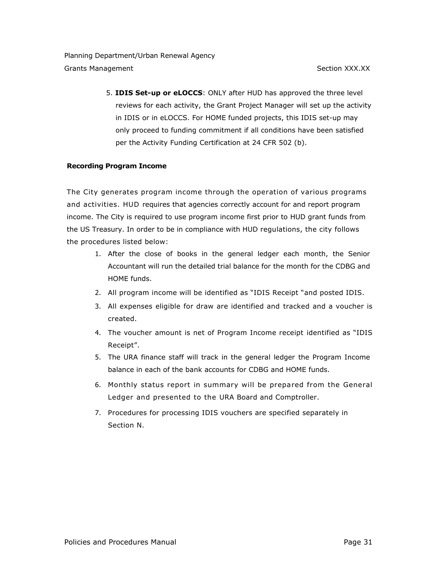5. **IDIS Set-up or eLOCCS**: ONLY after HUD has approved the three level reviews for each activity, the Grant Project Manager will set up the activity in IDIS or in eLOCCS. For HOME funded projects, this IDIS set-up may only proceed to funding commitment if all conditions have been satisfied per the Activity Funding Certification at 24 CFR 502 (b).

## **Recording Program Income**

The City generates program income through the operation of various programs and activities. HUD requires that agencies correctly account for and report program income. The City is required to use program income first prior to HUD grant funds from the US Treasury. In order to be in compliance with HUD regulations, the city follows the procedures listed below:

- 1. After the close of books in the general ledger each month, the Senior Accountant will run the detailed trial balance for the month for the CDBG and HOME funds.
- 2. All program income will be identified as "IDIS Receipt "and posted IDIS.
- 3. All expenses eligible for draw are identified and tracked and a voucher is created.
- 4. The voucher amount is net of Program Income receipt identified as "IDIS Receipt".
- 5. The URA finance staff will track in the general ledger the Program Income balance in each of the bank accounts for CDBG and HOME funds.
- 6. Monthly status report in summary will be prepared from the General Ledger and presented to the URA Board and Comptroller.
- 7. Procedures for processing IDIS vouchers are specified separately in Section N.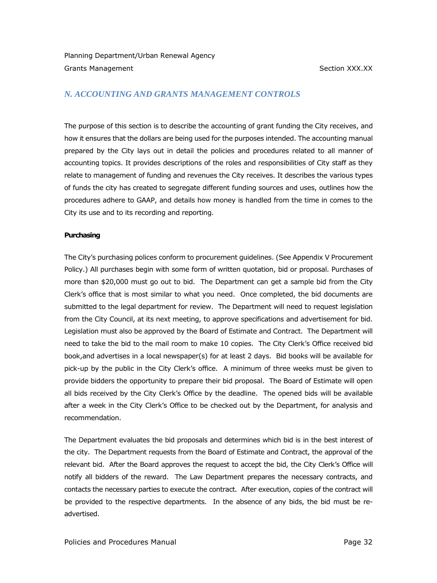# *N. ACCOUNTING AND GRANTS MANAGEMENT CONTROLS*

The purpose of this section is to describe the accounting of grant funding the City receives, and how it ensures that the dollars are being used for the purposes intended. The accounting manual prepared by the City lays out in detail the policies and procedures related to all manner of accounting topics. It provides descriptions of the roles and responsibilities of City staff as they relate to management of funding and revenues the City receives. It describes the various types of funds the city has created to segregate different funding sources and uses, outlines how the procedures adhere to GAAP, and details how money is handled from the time in comes to the City its use and to its recording and reporting.

#### **Purchasing**

The City's purchasing polices conform to procurement guidelines. (See Appendix V Procurement Policy.) All purchases begin with some form of written quotation, bid or proposal. Purchases of more than \$20,000 must go out to bid. The Department can get a sample bid from the City Clerk's office that is most similar to what you need. Once completed, the bid documents are submitted to the legal department for review. The Department will need to request legislation from the City Council, at its next meeting, to approve specifications and advertisement for bid. Legislation must also be approved by the Board of Estimate and Contract. The Department will need to take the bid to the mail room to make 10 copies. The City Clerk's Office received bid book,and advertises in a local newspaper(s) for at least 2 days. Bid books will be available for pick-up by the public in the City Clerk's office. A minimum of three weeks must be given to provide bidders the opportunity to prepare their bid proposal. The Board of Estimate will open all bids received by the City Clerk's Office by the deadline. The opened bids will be available after a week in the City Clerk's Office to be checked out by the Department, for analysis and recommendation.

The Department evaluates the bid proposals and determines which bid is in the best interest of the city. The Department requests from the Board of Estimate and Contract, the approval of the relevant bid. After the Board approves the request to accept the bid, the City Clerk's Office will notify all bidders of the reward. The Law Department prepares the necessary contracts, and contacts the necessary parties to execute the contract. After execution, copies of the contract will be provided to the respective departments. In the absence of any bids, the bid must be readvertised.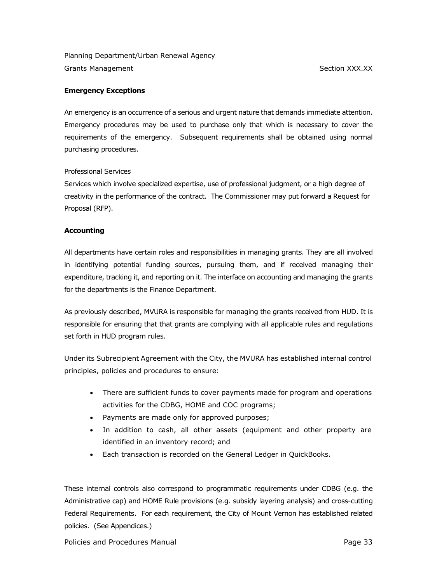#### **Emergency Exceptions**

An emergency is an occurrence of a serious and urgent nature that demands immediate attention. Emergency procedures may be used to purchase only that which is necessary to cover the requirements of the emergency. Subsequent requirements shall be obtained using normal purchasing procedures.

#### Professional Services

Services which involve specialized expertise, use of professional judgment, or a high degree of creativity in the performance of the contract. The Commissioner may put forward a Request for Proposal (RFP).

#### **Accounting**

All departments have certain roles and responsibilities in managing grants. They are all involved in identifying potential funding sources, pursuing them, and if received managing their expenditure, tracking it, and reporting on it. The interface on accounting and managing the grants for the departments is the Finance Department.

As previously described, MVURA is responsible for managing the grants received from HUD. It is responsible for ensuring that that grants are complying with all applicable rules and regulations set forth in HUD program rules.

Under its Subrecipient Agreement with the City, the MVURA has established internal control principles, policies and procedures to ensure:

- There are sufficient funds to cover payments made for program and operations activities for the CDBG, HOME and COC programs;
- Payments are made only for approved purposes;
- In addition to cash, all other assets (equipment and other property are identified in an inventory record; and
- Each transaction is recorded on the General Ledger in QuickBooks.

These internal controls also correspond to programmatic requirements under CDBG (e.g. the Administrative cap) and HOME Rule provisions (e.g. subsidy layering analysis) and cross-cutting Federal Requirements. For each requirement, the City of Mount Vernon has established related policies. (See Appendices.)

Policies and Procedures Manual **Page 33** Page 33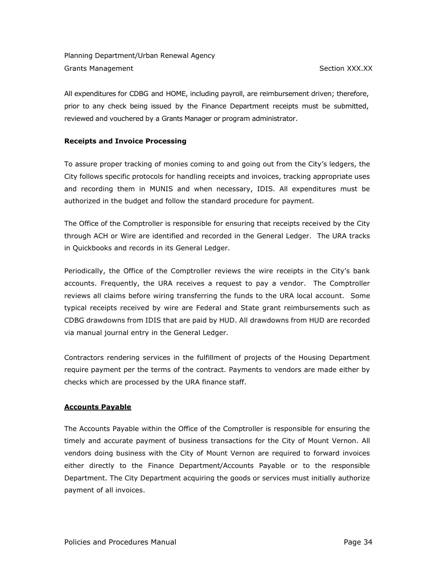All expenditures for CDBG and HOME, including payroll, are reimbursement driven; therefore, prior to any check being issued by the Finance Department receipts must be submitted, reviewed and vouchered by a Grants Manager or program administrator.

## **Receipts and Invoice Processing**

To assure proper tracking of monies coming to and going out from the City's ledgers, the City follows specific protocols for handling receipts and invoices, tracking appropriate uses and recording them in MUNIS and when necessary, IDIS. All expenditures must be authorized in the budget and follow the standard procedure for payment.

The Office of the Comptroller is responsible for ensuring that receipts received by the City through ACH or Wire are identified and recorded in the General Ledger. The URA tracks in Quickbooks and records in its General Ledger.

Periodically, the Office of the Comptroller reviews the wire receipts in the City's bank accounts. Frequently, the URA receives a request to pay a vendor. The Comptroller reviews all claims before wiring transferring the funds to the URA local account. Some typical receipts received by wire are Federal and State grant reimbursements such as CDBG drawdowns from IDIS that are paid by HUD. All drawdowns from HUD are recorded via manual journal entry in the General Ledger.

Contractors rendering services in the fulfillment of projects of the Housing Department require payment per the terms of the contract. Payments to vendors are made either by checks which are processed by the URA finance staff.

## **Accounts Payable**

The Accounts Payable within the Office of the Comptroller is responsible for ensuring the timely and accurate payment of business transactions for the City of Mount Vernon. All vendors doing business with the City of Mount Vernon are required to forward invoices either directly to the Finance Department/Accounts Payable or to the responsible Department. The City Department acquiring the goods or services must initially authorize payment of all invoices.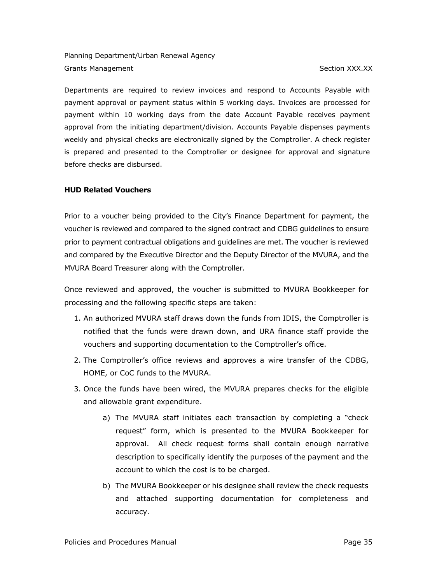Departments are required to review invoices and respond to Accounts Payable with payment approval or payment status within 5 working days. Invoices are processed for payment within 10 working days from the date Account Payable receives payment approval from the initiating department/division. Accounts Payable dispenses payments weekly and physical checks are electronically signed by the Comptroller. A check register is prepared and presented to the Comptroller or designee for approval and signature before checks are disbursed.

## **HUD Related Vouchers**

Prior to a voucher being provided to the City's Finance Department for payment, the voucher is reviewed and compared to the signed contract and CDBG guidelines to ensure prior to payment contractual obligations and guidelines are met. The voucher is reviewed and compared by the Executive Director and the Deputy Director of the MVURA, and the MVURA Board Treasurer along with the Comptroller.

Once reviewed and approved, the voucher is submitted to MVURA Bookkeeper for processing and the following specific steps are taken:

- 1. An authorized MVURA staff draws down the funds from IDIS, the Comptroller is notified that the funds were drawn down, and URA finance staff provide the vouchers and supporting documentation to the Comptroller's office.
- 2. The Comptroller's office reviews and approves a wire transfer of the CDBG, HOME, or CoC funds to the MVURA.
- 3. Once the funds have been wired, the MVURA prepares checks for the eligible and allowable grant expenditure.
	- a) The MVURA staff initiates each transaction by completing a "check request" form, which is presented to the MVURA Bookkeeper for approval. All check request forms shall contain enough narrative description to specifically identify the purposes of the payment and the account to which the cost is to be charged.
	- b) The MVURA Bookkeeper or his designee shall review the check requests and attached supporting documentation for completeness and accuracy.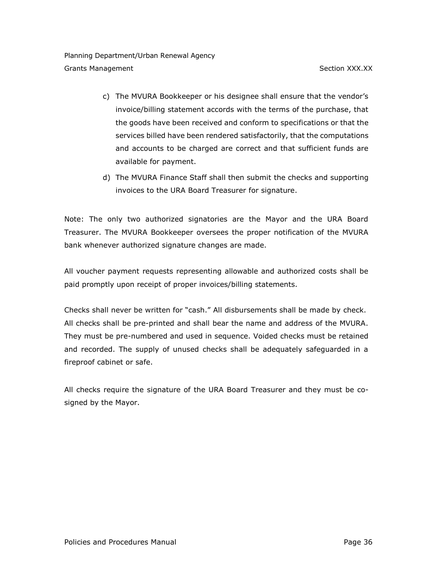- c) The MVURA Bookkeeper or his designee shall ensure that the vendor's invoice/billing statement accords with the terms of the purchase, that the goods have been received and conform to specifications or that the services billed have been rendered satisfactorily, that the computations and accounts to be charged are correct and that sufficient funds are available for payment.
- d) The MVURA Finance Staff shall then submit the checks and supporting invoices to the URA Board Treasurer for signature.

Note: The only two authorized signatories are the Mayor and the URA Board Treasurer. The MVURA Bookkeeper oversees the proper notification of the MVURA bank whenever authorized signature changes are made.

All voucher payment requests representing allowable and authorized costs shall be paid promptly upon receipt of proper invoices/billing statements.

Checks shall never be written for "cash." All disbursements shall be made by check. All checks shall be pre-printed and shall bear the name and address of the MVURA. They must be pre-numbered and used in sequence. Voided checks must be retained and recorded. The supply of unused checks shall be adequately safeguarded in a fireproof cabinet or safe.

All checks require the signature of the URA Board Treasurer and they must be cosigned by the Mayor.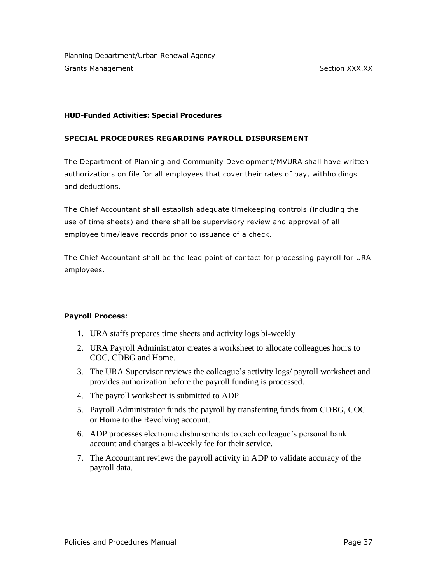## **HUD-Funded Activities: Special Procedures**

# **SPECIAL PROCEDURES REGARDING PAYROLL DISBURSEMENT**

The Department of Planning and Community Development/MVURA shall have written authorizations on file for all employees that cover their rates of pay, withholdings and deductions.

The Chief Accountant shall establish adequate timekeeping controls (including the use of time sheets) and there shall be supervisory review and approval of all employee time/leave records prior to issuance of a check.

The Chief Accountant shall be the lead point of contact for processing payroll for URA employees.

# **Payroll Process**:

- 1. URA staffs prepares time sheets and activity logs bi-weekly
- 2. URA Payroll Administrator creates a worksheet to allocate colleagues hours to COC, CDBG and Home.
- 3. The URA Supervisor reviews the colleague's activity logs/ payroll worksheet and provides authorization before the payroll funding is processed.
- 4. The payroll worksheet is submitted to ADP
- 5. Payroll Administrator funds the payroll by transferring funds from CDBG, COC or Home to the Revolving account.
- 6. ADP processes electronic disbursements to each colleague's personal bank account and charges a bi-weekly fee for their service.
- 7. The Accountant reviews the payroll activity in ADP to validate accuracy of the payroll data.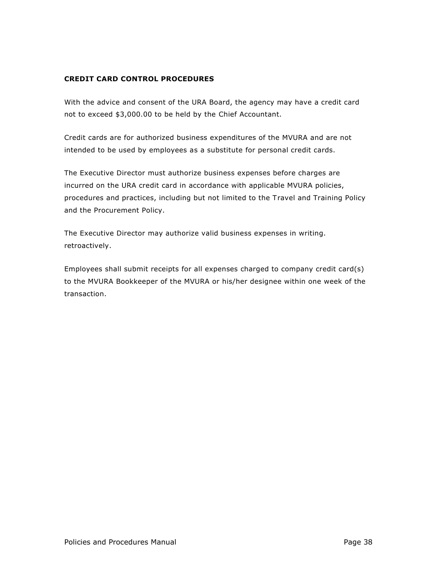## **CREDIT CARD CONTROL PROCEDURES**

With the advice and consent of the URA Board, the agency may have a credit card not to exceed \$3,000.00 to be held by the Chief Accountant.

Credit cards are for authorized business expenditures of the MVURA and are not intended to be used by employees as a substitute for personal credit cards.

The Executive Director must authorize business expenses before charges are incurred on the URA credit card in accordance with applicable MVURA policies, procedures and practices, including but not limited to the Travel and Training Policy and the Procurement Policy.

The Executive Director may authorize valid business expenses in writing. retroactively.

Employees shall submit receipts for all expenses charged to company credit card(s) to the MVURA Bookkeeper of the MVURA or his/her designee within one week of the transaction.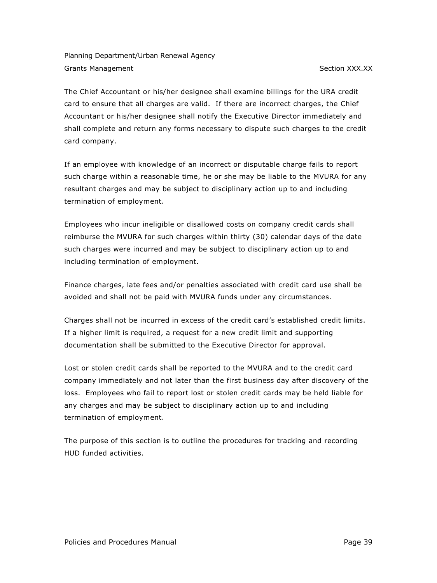The Chief Accountant or his/her designee shall examine billings for the URA credit card to ensure that all charges are valid. If there are incorrect charges, the Chief Accountant or his/her designee shall notify the Executive Director immediately and shall complete and return any forms necessary to dispute such charges to the credit card company.

If an employee with knowledge of an incorrect or disputable charge fails to report such charge within a reasonable time, he or she may be liable to the MVURA for any resultant charges and may be subject to disciplinary action up to and including termination of employment.

Employees who incur ineligible or disallowed costs on company credit cards shall reimburse the MVURA for such charges within thirty (30) calendar days of the date such charges were incurred and may be subject to disciplinary action up to and including termination of employment.

Finance charges, late fees and/or penalties associated with credit card use shall be avoided and shall not be paid with MVURA funds under any circumstances.

Charges shall not be incurred in excess of the credit card's established credit limits. If a higher limit is required, a request for a new credit limit and supporting documentation shall be submitted to the Executive Director for approval.

Lost or stolen credit cards shall be reported to the MVURA and to the credit card company immediately and not later than the first business day after discovery of the loss. Employees who fail to report lost or stolen credit cards may be held liable for any charges and may be subject to disciplinary action up to and including termination of employment.

The purpose of this section is to outline the procedures for tracking and recording HUD funded activities.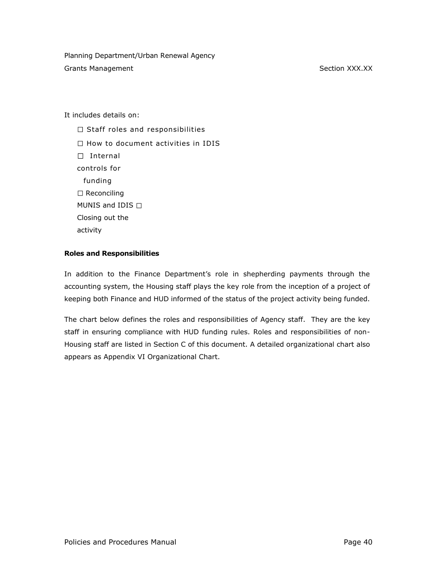It includes details on:

 $\Box$  Staff roles and responsibilities  $\Box$  How to document activities in IDIS  $\Box$  Internal controls for funding  $\square$  Reconciling MUNIS and IDIS  $\Box$ Closing out the activity

## **Roles and Responsibilities**

In addition to the Finance Department's role in shepherding payments through the accounting system, the Housing staff plays the key role from the inception of a project of keeping both Finance and HUD informed of the status of the project activity being funded.

The chart below defines the roles and responsibilities of Agency staff. They are the key staff in ensuring compliance with HUD funding rules. Roles and responsibilities of non-Housing staff are listed in Section C of this document. A detailed organizational chart also appears as Appendix VI Organizational Chart.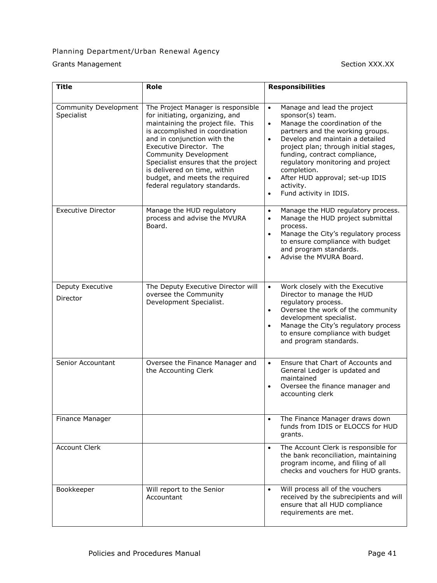# Planning Department/Urban Renewal Agency

Grants Management **Section XXX.XX** 

| <b>Title</b>                        | Role                                                                                                                                                                                                                                                                                                                                                                        | <b>Responsibilities</b>                                                                                                                                                                                                                                                                                                                                                                                                           |
|-------------------------------------|-----------------------------------------------------------------------------------------------------------------------------------------------------------------------------------------------------------------------------------------------------------------------------------------------------------------------------------------------------------------------------|-----------------------------------------------------------------------------------------------------------------------------------------------------------------------------------------------------------------------------------------------------------------------------------------------------------------------------------------------------------------------------------------------------------------------------------|
| Community Development<br>Specialist | The Project Manager is responsible<br>for initiating, organizing, and<br>maintaining the project file. This<br>is accomplished in coordination<br>and in conjunction with the<br>Executive Director. The<br>Community Development<br>Specialist ensures that the project<br>is delivered on time, within<br>budget, and meets the required<br>federal regulatory standards. | Manage and lead the project<br>$\bullet$<br>sponsor(s) team.<br>Manage the coordination of the<br>$\bullet$<br>partners and the working groups.<br>Develop and maintain a detailed<br>$\bullet$<br>project plan; through initial stages,<br>funding, contract compliance,<br>regulatory monitoring and project<br>completion.<br>After HUD approval; set-up IDIS<br>$\bullet$<br>activity.<br>Fund activity in IDIS.<br>$\bullet$ |
| <b>Executive Director</b>           | Manage the HUD regulatory<br>process and advise the MVURA<br>Board.                                                                                                                                                                                                                                                                                                         | Manage the HUD regulatory process.<br>$\bullet$<br>Manage the HUD project submittal<br>$\bullet$<br>process.<br>Manage the City's regulatory process<br>$\bullet$<br>to ensure compliance with budget<br>and program standards.<br>Advise the MVURA Board.<br>$\bullet$                                                                                                                                                           |
| Deputy Executive<br>Director        | The Deputy Executive Director will<br>oversee the Community<br>Development Specialist.                                                                                                                                                                                                                                                                                      | Work closely with the Executive<br>$\bullet$<br>Director to manage the HUD<br>regulatory process.<br>Oversee the work of the community<br>$\bullet$<br>development specialist.<br>Manage the City's regulatory process<br>$\bullet$<br>to ensure compliance with budget<br>and program standards.                                                                                                                                 |
| Senior Accountant                   | Oversee the Finance Manager and<br>the Accounting Clerk                                                                                                                                                                                                                                                                                                                     | Ensure that Chart of Accounts and<br>$\bullet$<br>General Ledger is updated and<br>maintained<br>Oversee the finance manager and<br>$\bullet$<br>accounting clerk                                                                                                                                                                                                                                                                 |
| Finance Manager                     |                                                                                                                                                                                                                                                                                                                                                                             | The Finance Manager draws down<br>$\bullet$<br>funds from IDIS or ELOCCS for HUD<br>grants.                                                                                                                                                                                                                                                                                                                                       |
| <b>Account Clerk</b>                |                                                                                                                                                                                                                                                                                                                                                                             | The Account Clerk is responsible for<br>$\bullet$<br>the bank reconciliation, maintaining<br>program income, and filing of all<br>checks and vouchers for HUD grants.                                                                                                                                                                                                                                                             |
| Bookkeeper                          | Will report to the Senior<br>Accountant                                                                                                                                                                                                                                                                                                                                     | Will process all of the vouchers<br>$\bullet$<br>received by the subrecipients and will<br>ensure that all HUD compliance<br>requirements are met.                                                                                                                                                                                                                                                                                |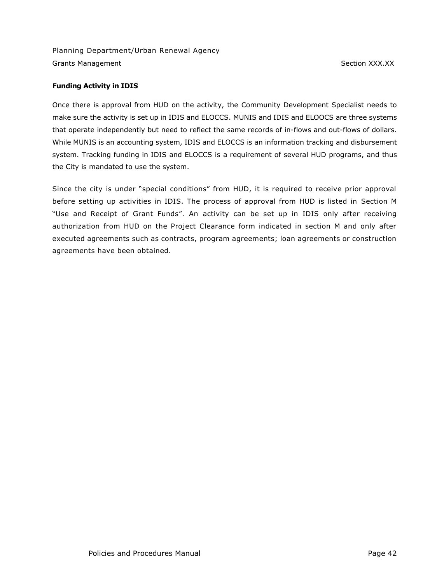#### **Funding Activity in IDIS**

Once there is approval from HUD on the activity, the Community Development Specialist needs to make sure the activity is set up in IDIS and ELOCCS. MUNIS and IDIS and ELOOCS are three systems that operate independently but need to reflect the same records of in-flows and out-flows of dollars. While MUNIS is an accounting system, IDIS and ELOCCS is an information tracking and disbursement system. Tracking funding in IDIS and ELOCCS is a requirement of several HUD programs, and thus the City is mandated to use the system.

Since the city is under "special conditions" from HUD, it is required to receive prior approval before setting up activities in IDIS. The process of approval from HUD is listed in Section M "Use and Receipt of Grant Funds". An activity can be set up in IDIS only after receiving authorization from HUD on the Project Clearance form indicated in section M and only after executed agreements such as contracts, program agreements; loan agreements or construction agreements have been obtained.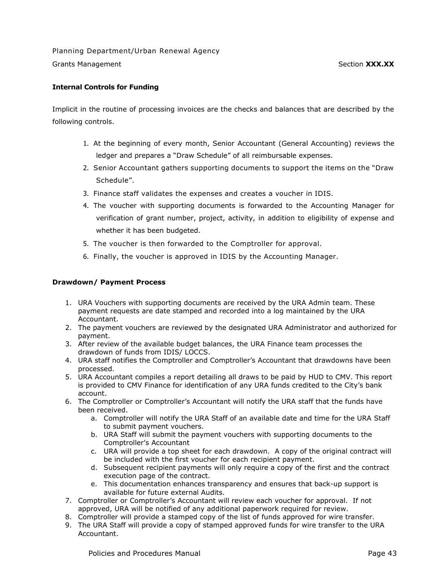## **Internal Controls for Funding**

Implicit in the routine of processing invoices are the checks and balances that are described by the following controls.

- 1. At the beginning of every month, Senior Accountant (General Accounting) reviews the ledger and prepares a "Draw Schedule" of all reimbursable expenses.
- 2. Senior Accountant gathers supporting documents to support the items on the "Draw Schedule".
- 3. Finance staff validates the expenses and creates a voucher in IDIS.
- 4. The voucher with supporting documents is forwarded to the Accounting Manager for verification of grant number, project, activity, in addition to eligibility of expense and whether it has been budgeted.
- 5. The voucher is then forwarded to the Comptroller for approval.
- 6. Finally, the voucher is approved in IDIS by the Accounting Manager.

#### **Drawdown/ Payment Process**

- 1. URA Vouchers with supporting documents are received by the URA Admin team. These payment requests are date stamped and recorded into a log maintained by the URA Accountant.
- 2. The payment vouchers are reviewed by the designated URA Administrator and authorized for payment.
- 3. After review of the available budget balances, the URA Finance team processes the drawdown of funds from IDIS/ LOCCS.
- 4. URA staff notifies the Comptroller and Comptroller's Accountant that drawdowns have been processed.
- 5. URA Accountant compiles a report detailing all draws to be paid by HUD to CMV. This report is provided to CMV Finance for identification of any URA funds credited to the City's bank account.
- 6. The Comptroller or Comptroller's Accountant will notify the URA staff that the funds have been received.
	- a. Comptroller will notify the URA Staff of an available date and time for the URA Staff to submit payment vouchers.
	- b. URA Staff will submit the payment vouchers with supporting documents to the Comptroller's Accountant
	- c. URA will provide a top sheet for each drawdown. A copy of the original contract will be included with the first voucher for each recipient payment.
	- d. Subsequent recipient payments will only require a copy of the first and the contract execution page of the contract.
	- e. This documentation enhances transparency and ensures that back-up support is available for future external Audits.
- 7. Comptroller or Comptroller's Accountant will review each voucher for approval. If not approved, URA will be notified of any additional paperwork required for review.
- 8. Comptroller will provide a stamped copy of the list of funds approved for wire transfer.
- 9. The URA Staff will provide a copy of stamped approved funds for wire transfer to the URA Accountant.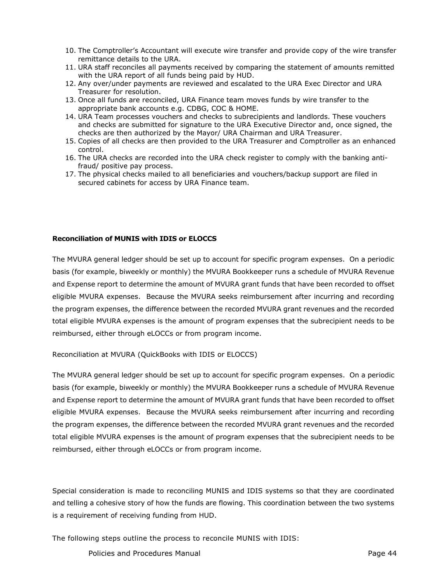- 10. The Comptroller's Accountant will execute wire transfer and provide copy of the wire transfer remittance details to the URA.
- 11. URA staff reconciles all payments received by comparing the statement of amounts remitted with the URA report of all funds being paid by HUD.
- 12. Any over/under payments are reviewed and escalated to the URA Exec Director and URA Treasurer for resolution.
- 13. Once all funds are reconciled, URA Finance team moves funds by wire transfer to the appropriate bank accounts e.g. CDBG, COC & HOME.
- 14. URA Team processes vouchers and checks to subrecipients and landlords. These vouchers and checks are submitted for signature to the URA Executive Director and, once signed, the checks are then authorized by the Mayor/ URA Chairman and URA Treasurer.
- 15. Copies of all checks are then provided to the URA Treasurer and Comptroller as an enhanced control.
- 16. The URA checks are recorded into the URA check register to comply with the banking antifraud/ positive pay process.
- 17. The physical checks mailed to all beneficiaries and vouchers/backup support are filed in secured cabinets for access by URA Finance team.

#### **Reconciliation of MUNIS with IDIS or ELOCCS**

The MVURA general ledger should be set up to account for specific program expenses. On a periodic basis (for example, biweekly or monthly) the MVURA Bookkeeper runs a schedule of MVURA Revenue and Expense report to determine the amount of MVURA grant funds that have been recorded to offset eligible MVURA expenses. Because the MVURA seeks reimbursement after incurring and recording the program expenses, the difference between the recorded MVURA grant revenues and the recorded total eligible MVURA expenses is the amount of program expenses that the subrecipient needs to be reimbursed, either through eLOCCs or from program income.

Reconciliation at MVURA (QuickBooks with IDIS or ELOCCS)

The MVURA general ledger should be set up to account for specific program expenses. On a periodic basis (for example, biweekly or monthly) the MVURA Bookkeeper runs a schedule of MVURA Revenue and Expense report to determine the amount of MVURA grant funds that have been recorded to offset eligible MVURA expenses. Because the MVURA seeks reimbursement after incurring and recording the program expenses, the difference between the recorded MVURA grant revenues and the recorded total eligible MVURA expenses is the amount of program expenses that the subrecipient needs to be reimbursed, either through eLOCCs or from program income.

Special consideration is made to reconciling MUNIS and IDIS systems so that they are coordinated and telling a cohesive story of how the funds are flowing. This coordination between the two systems is a requirement of receiving funding from HUD.

The following steps outline the process to reconcile MUNIS with IDIS:

Policies and Procedures Manual **Page 44** and Page 44 and Page 44 and Page 44 and Page 44 and Page 44 and Page 44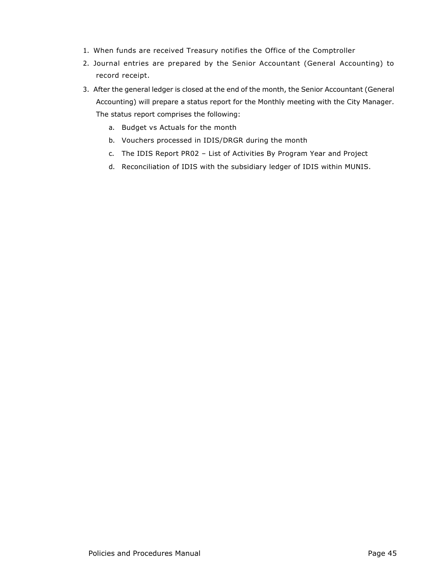- 1. When funds are received Treasury notifies the Office of the Comptroller
- 2. Journal entries are prepared by the Senior Accountant (General Accounting) to record receipt.
- 3. After the general ledger is closed at the end of the month, the Senior Accountant (General Accounting) will prepare a status report for the Monthly meeting with the City Manager. The status report comprises the following:
	- a. Budget vs Actuals for the month
	- b. Vouchers processed in IDIS/DRGR during the month
	- c. The IDIS Report PR02 List of Activities By Program Year and Project
	- d. Reconciliation of IDIS with the subsidiary ledger of IDIS within MUNIS.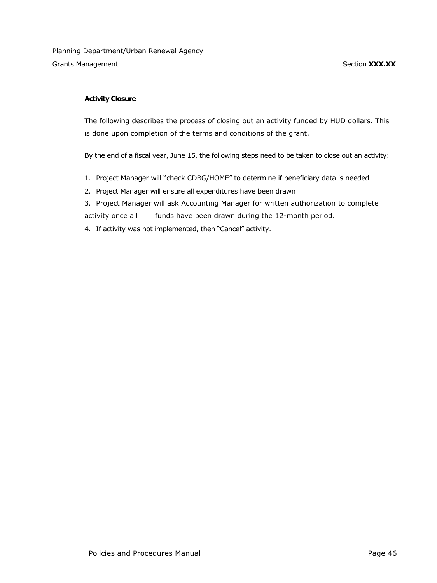## **Activity Closure**

The following describes the process of closing out an activity funded by HUD dollars. This is done upon completion of the terms and conditions of the grant.

By the end of a fiscal year, June 15, the following steps need to be taken to close out an activity:

- 1. Project Manager will "check CDBG/HOME" to determine if beneficiary data is needed
- 2. Project Manager will ensure all expenditures have been drawn
- 3. Project Manager will ask Accounting Manager for written authorization to complete activity once all funds have been drawn during the 12-month period.
- 4. If activity was not implemented, then "Cancel" activity.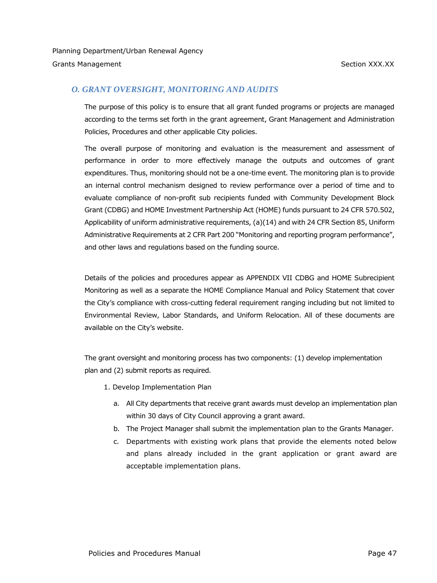# *O. GRANT OVERSIGHT, MONITORING AND AUDITS*

The purpose of this policy is to ensure that all grant funded programs or projects are managed according to the terms set forth in the grant agreement, Grant Management and Administration Policies, Procedures and other applicable City policies.

The overall purpose of monitoring and evaluation is the measurement and assessment of performance in order to more effectively manage the outputs and outcomes of grant expenditures. Thus, monitoring should not be a one-time event. The monitoring plan is to provide an internal control mechanism designed to review performance over a period of time and to evaluate compliance of non-profit sub recipients funded with Community Development Block Grant (CDBG) and HOME Investment Partnership Act (HOME) funds pursuant to 24 CFR 570.502, Applicability of uniform administrative requirements, (a)(14) and with 24 CFR Section 85, Uniform Administrative Requirements at 2 CFR Part 200 "Monitoring and reporting program performance", and other laws and regulations based on the funding source.

Details of the policies and procedures appear as APPENDIX VII CDBG and HOME Subrecipient Monitoring as well as a separate the HOME Compliance Manual and Policy Statement that cover the City's compliance with cross-cutting federal requirement ranging including but not limited to Environmental Review, Labor Standards, and Uniform Relocation. All of these documents are available on the City's website.

The grant oversight and monitoring process has two components: (1) develop implementation plan and (2) submit reports as required.

- 1. Develop Implementation Plan
	- a. All City departments that receive grant awards must develop an implementation plan within 30 days of City Council approving a grant award.
	- b. The Project Manager shall submit the implementation plan to the Grants Manager.
	- c. Departments with existing work plans that provide the elements noted below and plans already included in the grant application or grant award are acceptable implementation plans.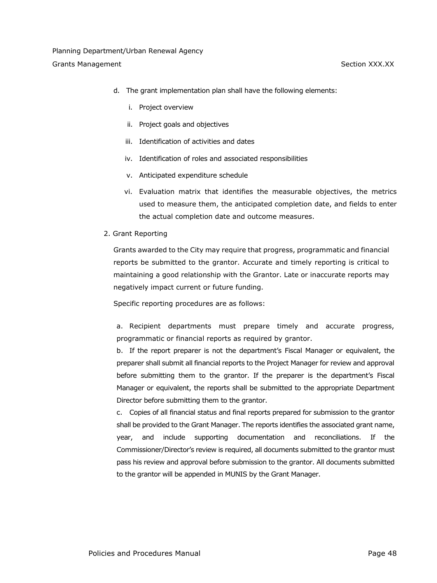- d. The grant implementation plan shall have the following elements:
	- i. Project overview
	- ii. Project goals and objectives
	- iii. Identification of activities and dates
	- iv. Identification of roles and associated responsibilities
	- v. Anticipated expenditure schedule
	- vi. Evaluation matrix that identifies the measurable objectives, the metrics used to measure them, the anticipated completion date, and fields to enter the actual completion date and outcome measures.
- 2. Grant Reporting

Grants awarded to the City may require that progress, programmatic and financial reports be submitted to the grantor. Accurate and timely reporting is critical to maintaining a good relationship with the Grantor. Late or inaccurate reports may negatively impact current or future funding.

Specific reporting procedures are as follows:

a. Recipient departments must prepare timely and accurate progress, programmatic or financial reports as required by grantor.

b. If the report preparer is not the department's Fiscal Manager or equivalent, the preparer shall submit all financial reports to the Project Manager for review and approval before submitting them to the grantor. If the preparer is the department's Fiscal Manager or equivalent, the reports shall be submitted to the appropriate Department Director before submitting them to the grantor.

c. Copies of all financial status and final reports prepared for submission to the grantor shall be provided to the Grant Manager. The reports identifies the associated grant name, year, and include supporting documentation and reconciliations. If the Commissioner/Director's review is required, all documents submitted to the grantor must pass his review and approval before submission to the grantor. All documents submitted to the grantor will be appended in MUNIS by the Grant Manager.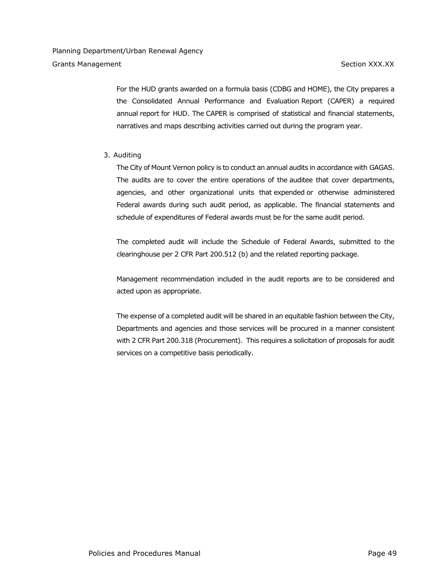For the HUD grants awarded on a formula basis (CDBG and HOME), the City prepares a the Consolidated Annual Performance and Evaluation Report (CAPER) a required annual report for HUD. The CAPER is comprised of statistical and financial statements, narratives and maps describing activities carried out during the program year.

## 3. Auditing

The City of Mount Vernon policy is to conduct an annual audits in accordance with [GAGAS.](https://www.law.cornell.edu/cfr/text/2/200.514) The audits are to cover the entire operations of the [auditee](https://www.law.cornell.edu/cfr/text/2/200.514) that cover departments, agencies, and other organizational units that [expended](https://www.law.cornell.edu/cfr/text/2/200.514) or otherwise administered Federal awards during such audit period, as applicable. The financial statements and schedule of [expenditures](https://www.law.cornell.edu/cfr/text/2/200.514) of Federal awards must be for the same audit period.

The completed audit will include the Schedule of Federal Awards, submitted to the clearinghouse per 2 CFR Part 200.512 (b) and the related reporting package.

Management recommendation included in the audit reports are to be considered and acted upon as appropriate.

The expense of a completed audit will be shared in an equitable fashion between the City, Departments and agencies and those services will be procured in a manner consistent with 2 CFR Part 200.318 (Procurement). This requires a solicitation of proposals for audit services on a competitive basis periodically.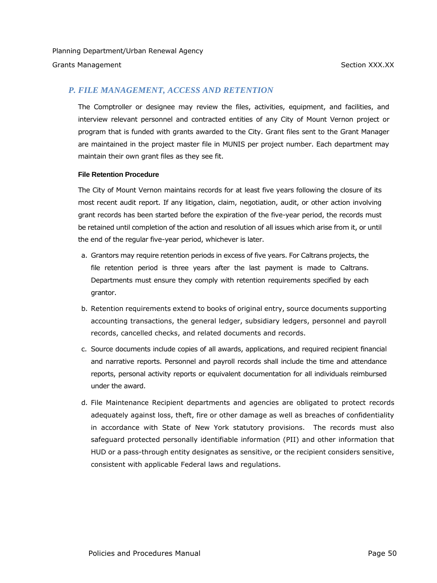## *P. FILE MANAGEMENT, ACCESS AND RETENTION*

The Comptroller or designee may review the files, activities, equipment, and facilities, and interview relevant personnel and contracted entities of any City of Mount Vernon project or program that is funded with grants awarded to the City. Grant files sent to the Grant Manager are maintained in the project master file in MUNIS per project number. Each department may maintain their own grant files as they see fit.

#### **File Retention Procedure**

The City of Mount Vernon maintains records for at least five years following the closure of its most recent audit report. If any litigation, claim, negotiation, audit, or other action involving grant records has been started before the expiration of the five-year period, the records must be retained until completion of the action and resolution of all issues which arise from it, or until the end of the regular five-year period, whichever is later.

- a. Grantors may require retention periods in excess of five years. For Caltrans projects, the file retention period is three years after the last payment is made to Caltrans. Departments must ensure they comply with retention requirements specified by each grantor.
- b. Retention requirements extend to books of original entry, source documents supporting accounting transactions, the general ledger, subsidiary ledgers, personnel and payroll records, cancelled checks, and related documents and records.
- c. Source documents include copies of all awards, applications, and required recipient financial and narrative reports. Personnel and payroll records shall include the time and attendance reports, personal activity reports or equivalent documentation for all individuals reimbursed under the award.
- d. File Maintenance Recipient departments and agencies are obligated to protect records adequately against loss, theft, fire or other damage as well as breaches of confidentiality in accordance with State of New York statutory provisions. The records must also safeguard protected personally identifiable information (PII) and other information that HUD or a pass-through entity designates as sensitive, or the recipient considers sensitive, consistent with applicable Federal laws and regulations.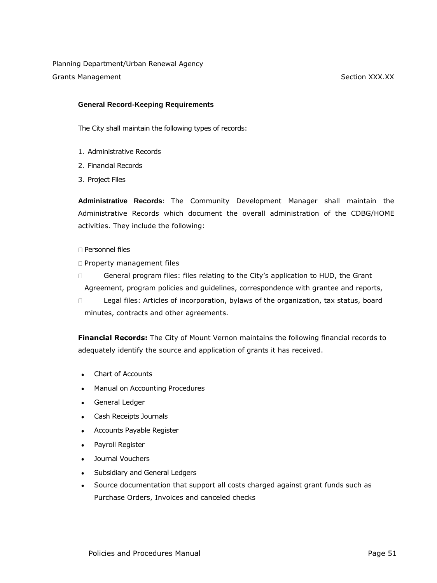#### **General Record-Keeping Requirements**

The City shall maintain the following types of records:

- 1. Administrative Records
- 2. Financial Records
- 3. Project Files

**Administrative Records:** The Community Development Manager shall maintain the Administrative Records which document the overall administration of the CDBG/HOME activities. They include the following:

#### □ Personnel files

- **D** Property management files
- General program files: files relating to the City's application to HUD, the Grant  $\Box$ Agreement, program policies and guidelines, correspondence with grantee and reports,
- $\Box$ Legal files: Articles of incorporation, bylaws of the organization, tax status, board minutes, contracts and other agreements.

**Financial Records:** The City of Mount Vernon maintains the following financial records to adequately identify the source and application of grants it has received.

- Chart of Accounts
- Manual on Accounting Procedures
- General Ledger
- Cash Receipts Journals
- Accounts Payable Register
- Payroll Register
- Journal Vouchers
- Subsidiary and General Ledgers
- Source documentation that support all costs charged against grant funds such as Purchase Orders, Invoices and canceled checks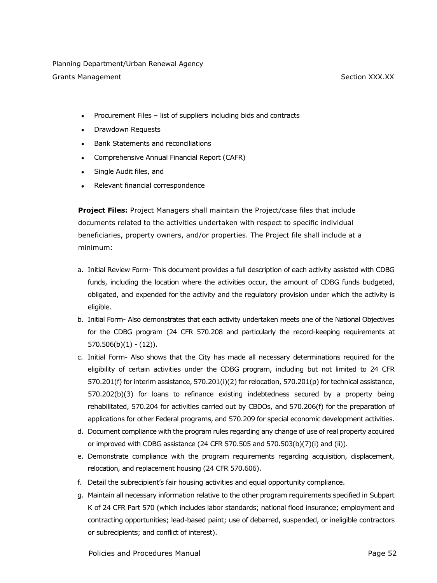Planning Department/Urban Renewal Agency

Grants Management Section XXX.XX

- Procurement Files list of suppliers including bids and contracts
- Drawdown Requests
- Bank Statements and reconciliations
- Comprehensive Annual Financial Report (CAFR)
- Single Audit files, and
- Relevant financial correspondence

**Project Files:** Project Managers shall maintain the Project/case files that include documents related to the activities undertaken with respect to specific individual beneficiaries, property owners, and/or properties. The Project file shall include at a minimum:

- a. Initial Review Form- This document provides a full description of each activity assisted with CDBG funds, including the location where the activities occur, the amount of CDBG funds budgeted, obligated, and expended for the activity and the regulatory provision under which the activity is eligible.
- b. Initial Form- Also demonstrates that each activity undertaken meets one of the National Objectives for the CDBG program (24 CFR 570.208 and particularly the record-keeping requirements at  $570.506(b)(1) - (12)$ .
- c. Initial Form- Also shows that the City has made all necessary determinations required for the eligibility of certain activities under the CDBG program, including but not limited to 24 CFR 570.201(f) for interim assistance, 570.201(i)(2) for relocation, 570.201(p) for technical assistance, 570.202(b)(3) for loans to refinance existing indebtedness secured by a property being rehabilitated, 570.204 for activities carried out by CBDOs, and 570.206(f) for the preparation of applications for other Federal programs, and 570.209 for special economic development activities.
- d. Document compliance with the program rules regarding any change of use of real property acquired or improved with CDBG assistance (24 CFR 570.505 and 570.503(b)(7)(i) and (ii)).
- e. Demonstrate compliance with the program requirements regarding acquisition, displacement, relocation, and replacement housing (24 CFR 570.606).
- f. Detail the subrecipient's fair housing activities and equal opportunity compliance.
- g. Maintain all necessary information relative to the other program requirements specified in Subpart K of 24 CFR Part 570 (which includes labor standards; national flood insurance; employment and contracting opportunities; lead-based paint; use of debarred, suspended, or ineligible contractors or subrecipients; and conflict of interest).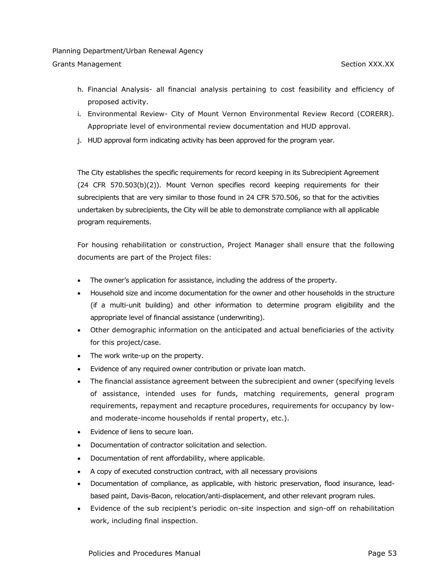- h. Financial Analysis- all financial analysis pertaining to cost feasibility and efficiency of proposed activity.
- i. Environmental Review- City of Mount Vernon Environmental Review Record (CORERR). Appropriate level of environmental review documentation and HUD approval.
- j. HUD approval form indicating activity has been approved for the program year.

The City establishes the specific requirements for record keeping in its Subrecipient Agreement (24 CFR 570.503(b)(2)). Mount Vernon specifies record keeping requirements for their subrecipients that are very similar to those found in 24 CFR 570.506, so that for the activities undertaken by subrecipients, the City will be able to demonstrate compliance with all applicable program requirements.

For housing rehabilitation or construction, Project Manager shall ensure that the following documents are part of the Project files:

- The owner's application for assistance, including the address of the property.
- Household size and income documentation for the owner and other households in the structure (if a multi-unit building) and other information to determine program eligibility and the appropriate level of financial assistance (underwriting).
- Other demographic information on the anticipated and actual beneficiaries of the activity for this project/case.
- The work write-up on the property.
- Evidence of any required owner contribution or private loan match.
- The financial assistance agreement between the subrecipient and owner (specifying levels of assistance, intended uses for funds, matching requirements, general program requirements, repayment and recapture procedures, requirements for occupancy by lowand moderate-income households if rental property, etc.).
- Evidence of liens to secure loan.
- Documentation of contractor solicitation and selection.
- Documentation of rent affordability, where applicable.
- A copy of executed construction contract, with all necessary provisions
- Documentation of compliance, as applicable, with historic preservation, flood insurance, leadbased paint, Davis-Bacon, relocation/anti-displacement, and other relevant program rules.
- Evidence of the sub recipient's periodic on-site inspection and sign-off on rehabilitation work, including final inspection.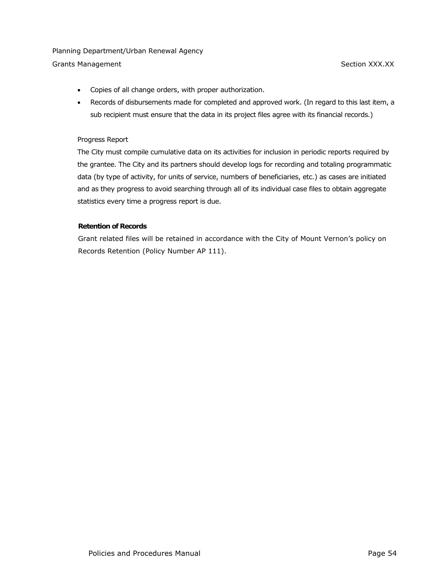# Planning Department/Urban Renewal Agency

Grants Management **Section XXX.XX** Section XXX.XX

- Copies of all change orders, with proper authorization.
- Records of disbursements made for completed and approved work. (In regard to this last item, a sub recipient must ensure that the data in its project files agree with its financial records.)

#### Progress Report

The City must compile cumulative data on its activities for inclusion in periodic reports required by the grantee. The City and its partners should develop logs for recording and totaling programmatic data (by type of activity, for units of service, numbers of beneficiaries, etc.) as cases are initiated and as they progress to avoid searching through all of its individual case files to obtain aggregate statistics every time a progress report is due.

## **Retention of Records**

Grant related files will be retained in accordance with the City of Mount Vernon's policy on Records Retention (Policy Number AP 111).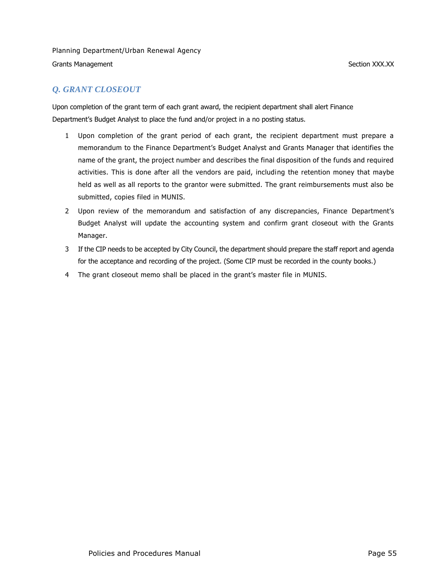# *Q. GRANT CLOSEOUT*

Upon completion of the grant term of each grant award, the recipient department shall alert Finance Department's Budget Analyst to place the fund and/or project in a no posting status.

- 1 Upon completion of the grant period of each grant, the recipient department must prepare a memorandum to the Finance Department's Budget Analyst and Grants Manager that identifies the name of the grant, the project number and describes the final disposition of the funds and required activities. This is done after all the vendors are paid, including the retention money that maybe held as well as all reports to the grantor were submitted. The grant reimbursements must also be submitted, copies filed in MUNIS.
- 2 Upon review of the memorandum and satisfaction of any discrepancies, Finance Department's Budget Analyst will update the accounting system and confirm grant closeout with the Grants Manager.
- 3 If the CIP needs to be accepted by City Council, the department should prepare the staff report and agenda for the acceptance and recording of the project. (Some CIP must be recorded in the county books.)
- 4 The grant closeout memo shall be placed in the grant's master file in MUNIS.